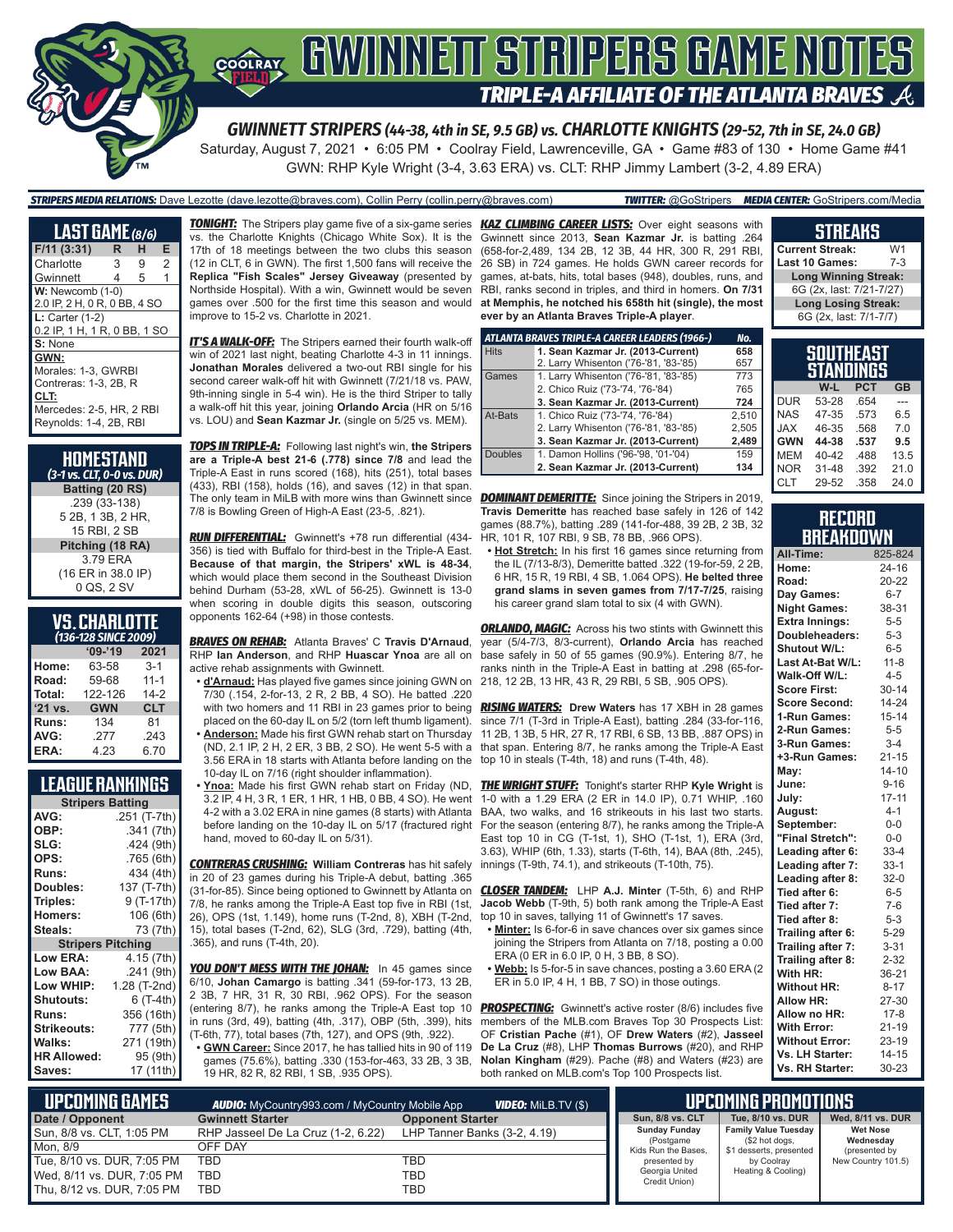

Saturday, August 7, 2021 • 6:05 PM • Coolray Field, Lawrenceville, GA • Game #83 of 130 • Home Game #41 GWN: RHP Kyle Wright (3-4, 3.63 ERA) vs. CLT: RHP Jimmy Lambert (3-2, 4.89 ERA)

*STRIPERS MEDIA RELATIONS:* Dave Lezotte (dave.lezotte@braves.com), Collin Perry (collin.perry@braves.com) *TWITTER:* @GoStripers *MEDIA CENTER:* GoStripers.com/Media

| <b>LAST GAME</b> (8/6)                                                                                             |   |   |                |
|--------------------------------------------------------------------------------------------------------------------|---|---|----------------|
| F/11(3:31)                                                                                                         | R | н | Е              |
| Charlotte                                                                                                          | 3 | 9 | $\overline{2}$ |
| Gwinnett                                                                                                           | 4 | 5 | 1              |
| $W:$ Newcomb $(1-0)$<br>2.0 IP, 2 H, 0 R, 0 BB, 4 SO                                                               |   |   |                |
| $L:$ Carter (1-2)<br>0.2 IP, 1 H, 1 R, 0 BB, 1 SO                                                                  |   |   |                |
| S: None                                                                                                            |   |   |                |
| GWN:<br>Morales: 1-3. GWRBI<br>Contreras: 1-3, 2B, R<br>CLT:<br>Mercedes: 2-5, HR, 2 RBI<br>Reynolds: 1-4, 2B, RBI |   |   |                |

| HOMESTAND<br>(3-1 vs. CLT, 0-0 vs. DUR) |
|-----------------------------------------|
| Batting (20 RS)                         |
| .239 (33-138)                           |
| 5 2B, 1 3B, 2 HR,                       |
| 15 RBI. 2 SB                            |
| Pitching (18 RA)                        |
| 379 FRA                                 |
| (16 ER in 38.0 IP)                      |
| 0 QS, 2 SV                              |
|                                         |

#### **VS. CHARLOTTE**  *(136-128 SINCE 2009)*

|         | $'09-'19$  | 2021       |  |  |
|---------|------------|------------|--|--|
| Home:   | 63-58      | $3 - 1$    |  |  |
| Road:   | 59-68      | $11 - 1$   |  |  |
| Total:  | 122-126    | $14-2$     |  |  |
| '21 vs. | <b>GWN</b> | <b>CLT</b> |  |  |
| Runs:   | 134        | 81         |  |  |
| AVG:    | .277       | .243       |  |  |
| ERA:    | 4.23       | 6.70       |  |  |

#### **LEAGUE RANKINGS**

| <b>Stripers Batting</b>  |              |  |  |  |
|--------------------------|--------------|--|--|--|
| AVG:                     | .251 (T-7th) |  |  |  |
| OBP:                     | .341 (7th)   |  |  |  |
| SLG:                     | .424 (9th)   |  |  |  |
| OPS:                     | .765(6th)    |  |  |  |
| <b>Runs:</b>             | 434 (4th)    |  |  |  |
| Doubles:                 | 137 (T-7th)  |  |  |  |
| Triples:                 | 9 (T-17th)   |  |  |  |
| Homers:                  | 106 (6th)    |  |  |  |
| Steals:                  | 73 (7th)     |  |  |  |
| <b>Stripers Pitching</b> |              |  |  |  |
| <b>Low ERA:</b>          | 4.15 (7th)   |  |  |  |
| Low BAA:                 | .241 (9th)   |  |  |  |
| Low WHIP:                | 1.28 (T-2nd) |  |  |  |
| <b>Shutouts:</b>         | $6(T-4th)$   |  |  |  |
| <b>Runs:</b>             | 356 (16th)   |  |  |  |
| <b>Strikeouts:</b>       | 777 (5th)    |  |  |  |
| <b>Walks:</b>            | 271 (19th)   |  |  |  |
| <b>HR Allowed:</b>       | 95 (9th)     |  |  |  |
| Saves:                   | 17 (11th)    |  |  |  |

vs. the Charlotte Knights (Chicago White Sox). It is the 17th of 18 meetings between the two clubs this season (12 in CLT, 6 in GWN). The first 1,500 fans will receive the **Replica "Fish Scales" Jersey Giveaway** (presented by Northside Hospital). With a win, Gwinnett would be seven improve to 15-2 vs. Charlotte in 2021.

*IT'S A WALK-OFF:* The Stripers earned their fourth walk-off win of 2021 last night, beating Charlotte 4-3 in 11 innings. **Jonathan Morales** delivered a two-out RBI single for his second career walk-off hit with Gwinnett (7/21/18 vs. PAW, 9th-inning single in 5-4 win). He is the third Striper to tally a walk-off hit this year, joining **Orlando Arcia** (HR on 5/16 vs. LOU) and **Sean Kazmar Jr.** (single on 5/25 vs. MEM).

*TOPS IN TRIPLE-A:* Following last night's win, **the Stripers are a Triple-A best 21-6 (.778) since 7/8** and lead the Triple-A East in runs scored (168), hits (251), total bases (433), RBI (158), holds (16), and saves (12) in that span. The only team in MiLB with more wins than Gwinnett since *DOMINANT DEMERITTE:* Since joining the Stripers in 2019, 7/8 is Bowling Green of High-A East (23-5, .821).

*RUN DIFFERENTIAL:* Gwinnett's +78 run differential (434- 356) is tied with Buffalo for third-best in the Triple-A East. **Because of that margin, the Stripers' xWL is 48-34**, which would place them second in the Southeast Division behind Durham (53-28, xWL of 56-25). Gwinnett is 13-0 when scoring in double digits this season, outscoring opponents 162-64 (+98) in those contests.

*BRAVES ON REHAB:* Atlanta Braves' C **Travis D'Arnaud**, RHP **Ian Anderson**, and RHP **Huascar Ynoa** are all on active rehab assignments with Gwinnett.

**• d'Arnaud:** Has played five games since joining GWN on 7/30 (.154, 2-for-13, 2 R, 2 BB, 4 SO). He batted .220 with two homers and 11 RBI in 23 games prior to being placed on the 60-day IL on 5/2 (torn left thumb ligament). **• Anderson:** Made his first GWN rehab start on Thursday (ND, 2.1 IP, 2 H, 2 ER, 3 BB, 2 SO). He went 5-5 with a 3.56 ERA in 18 starts with Atlanta before landing on the

10-day IL on 7/16 (right shoulder inflammation). 3.2 IP, 4 H, 3 R, 1 ER, 1 HR, 1 HB, 0 BB, 4 SO). He went 4-2 with a 3.02 ERA in nine games (8 starts) with Atlanta before landing on the 10-day IL on 5/17 (fractured right

*CONTRERAS CRUSHING:* **William Contreras** has hit safely in 20 of 23 games during his Triple-A debut, batting .365 (31-for-85). Since being optioned to Gwinnett by Atlanta on 7/8, he ranks among the Triple-A East top five in RBI (1st, 26), OPS (1st, 1.149), home runs (T-2nd, 8), XBH (T-2nd, 15), total bases (T-2nd, 62), SLG (3rd, .729), batting (4th, .365), and runs (T-4th, 20).

hand, moved to 60-day IL on 5/31).

**YOU DON'T MESS WITH THE JOHAN:** In 45 games since 6/10, **Johan Camargo** is batting .341 (59-for-173, 13 2B, 2 3B, 7 HR, 31 R, 30 RBI, .962 OPS). For the season (entering 8/7), he ranks among the Triple-A East top 10 in runs (3rd, 49), batting (4th, .317), OBP (5th, .399), hits (T-6th, 77), total bases (7th, 127), and OPS (9th, .922). **• GWN Career:** Since 2017, he has tallied hits in 90 of 119

games (75.6%), batting .330 (153-for-463, 33 2B, 3 3B, 19 HR, 82 R, 82 RBI, 1 SB, .935 OPS).

*TONIGHT:* The Stripers play game five of a six-game series *KAZ CLIMBING CAREER LISTS:* Over eight seasons with games over .500 for the first time this season and would **at Memphis, he notched his 658th hit (single), the most**  Gwinnett since 2013, **Sean Kazmar Jr.** is batting .264 (658-for-2,489, 134 2B, 12 3B, 44 HR, 300 R, 291 RBI, 26 SB) in 724 games. He holds GWN career records for games, at-bats, hits, total bases (948), doubles, runs, and RBI, ranks second in triples, and third in homers. **On 7/31 ever by an Atlanta Braves Triple-A player**.

|                | ATLANTA BRAVES TRIPLE-A CAREER LEADERS (1966-) | No.   |
|----------------|------------------------------------------------|-------|
| <b>Hits</b>    | 1. Sean Kazmar Jr. (2013-Current)              | 658   |
|                | 2. Larry Whisenton ('76-'81, '83-'85)          | 657   |
| Games          | 1. Larry Whisenton ('76-'81, '83-'85)          | 773   |
|                | 2. Chico Ruiz ('73-'74, '76-'84)               | 765   |
|                | 3. Sean Kazmar Jr. (2013-Current)              | 724   |
| At-Bats        | 1. Chico Ruiz ('73-'74, '76-'84)               | 2.510 |
|                | 2. Larry Whisenton ('76-'81, '83-'85)          | 2,505 |
|                | 3. Sean Kazmar Jr. (2013-Current)              | 2,489 |
| <b>Doubles</b> | 1. Damon Hollins ('96-'98, '01-'04)            | 159   |
|                | 2. Sean Kazmar Jr. (2013-Current)              | 134   |

**Travis Demeritte** has reached base safely in 126 of 142 games (88.7%), batting .289 (141-for-488, 39 2B, 2 3B, 32 HR, 101 R, 107 RBI, 9 SB, 78 BB, .966 OPS).

**• Hot Stretch:** In his first 16 games since returning from the IL (7/13-8/3), Demeritte batted .322 (19-for-59, 2 2B, 6 HR, 15 R, 19 RBI, 4 SB, 1.064 OPS). **He belted three grand slams in seven games from 7/17-7/25**, raising his career grand slam total to six (4 with GWN).

**ORLANDO, MAGIC:** Across his two stints with Gwinnett this year (5/4-7/3, 8/3-current), **Orlando Arcia** has reached base safely in 50 of 55 games (90.9%). Entering 8/7, he ranks ninth in the Triple-A East in batting at .298 (65-for-218, 12 2B, 13 HR, 43 R, 29 RBI, 5 SB, .905 OPS).

*RISING WATERS:* **Drew Waters** has 17 XBH in 28 games since 7/1 (T-3rd in Triple-A East), batting .284 (33-for-116, 11 2B, 1 3B, 5 HR, 27 R, 17 RBI, 6 SB, 13 BB, .887 OPS) in that span. Entering 8/7, he ranks among the Triple-A East top 10 in steals (T-4th, 18) and runs (T-4th, 48).

**• Ynoa:** Made his first GWN rehab start on Friday (ND, *THE WRIGHT STUFF:* Tonight's starter RHP **Kyle Wright** is 1-0 with a 1.29 ERA (2 ER in 14.0 IP), 0.71 WHIP, .160 BAA, two walks, and 16 strikeouts in his last two starts. For the season (entering 8/7), he ranks among the Triple-A East top 10 in CG (T-1st, 1), SHO (T-1st, 1), ERA (3rd, 3.63), WHIP (6th, 1.33), starts (T-6th, 14), BAA (8th, .245), innings (T-9th, 74.1), and strikeouts (T-10th, 75).

> *CLOSER TANDEM:* LHP **A.J. Minter** (T-5th, 6) and RHP **Jacob Webb** (T-9th, 5) both rank among the Triple-A East top 10 in saves, tallying 11 of Gwinnett's 17 saves.

- **• Minter:** Is 6-for-6 in save chances over six games since joining the Stripers from Atlanta on 7/18, posting a 0.00 ERA (0 ER in 6.0 IP, 0 H, 3 BB, 8 SO).
- **• Webb:** Is 5-for-5 in save chances, posting a 3.60 ERA (2 ER in 5.0 IP, 4 H, 1 BB, 7 SO) in those outings.

**PROSPECTING:** Gwinnett's active roster (8/6) includes five members of the MLB.com Braves Top 30 Prospects List: OF **Cristian Pache** (#1), OF **Drew Waters** (#2), **Jasseel De La Cruz** (#8), LHP **Thomas Burrows** (#20), and RHP **Nolan Kingham** (#29). Pache (#8) and Waters (#23) are both ranked on MLB.com's Top 100 Prospects list.

#### **STREAKS**

**Current Streak:** W1<br>Last 10 Games: 7-3 **Last 10 Games: Long Winning Streak:** 6G (2x, last: 7/21-7/27) **Long Losing Streak:** 6G (2x, last: 7/1-7/7)

#### **SOUTHEAST STANDINGS W-L PCT GB**

| <b>DUR</b> | 53-28     | .654 |      |
|------------|-----------|------|------|
| <b>NAS</b> | 47-35     | .573 | 6.5  |
| <b>JAX</b> | 46-35     | .568 | 7.0  |
| <b>GWN</b> | 44-38     | .537 | 9.5  |
| <b>MEM</b> | 40-42     | .488 | 13.5 |
| <b>NOR</b> | $31 - 48$ | .392 | 21.0 |
| <b>CLT</b> | 29-52     | .358 | 24.0 |
|            |           |      |      |

| <b>RECORD</b>    |  |
|------------------|--|
| <b>BREAKDOWN</b> |  |

| All-Time:             | 825-824   |
|-----------------------|-----------|
| Home:                 | 24-16     |
| Road:                 | 20-22     |
| Day Games:            | $6 - 7$   |
| <b>Night Games:</b>   | 38-31     |
| <b>Extra Innings:</b> | $5 - 5$   |
| Doubleheaders:        | $5 - 3$   |
| <b>Shutout W/L:</b>   | $6 - 5$   |
| Last At-Bat W/L:      | $11 - 8$  |
| Walk-Off W/L:         | $4 - 5$   |
| <b>Score First:</b>   | $30 - 14$ |
| <b>Score Second:</b>  | $14 - 24$ |
| 1-Run Games:          | $15 - 14$ |
| 2-Run Games:          | $5 - 5$   |
| 3-Run Games:          | $3 - 4$   |
| +3-Run Games:         | $21 - 15$ |
| May:                  | $14 - 10$ |
| June:                 | $9 - 16$  |
| July:                 | $17 - 11$ |
| August:               | 4-1       |
| September:            | $0 - 0$   |
| "Final Stretch":      | $0-0$     |
| Leading after 6:      | $33 - 4$  |
| Leading after 7:      | $33-1$    |
| Leading after 8:      | $32-0$    |
| Tied after 6:         | $6 - 5$   |
| Tied after 7:         | $7-6$     |
| Tied after 8:         | $5 - 3$   |
| Trailing after 6:     | $5 - 29$  |
| Trailing after 7:     | $3 - 31$  |
| Trailing after 8:     | $2 - 32$  |
| With HR:              | 36-21     |
| <b>Without HR:</b>    | $8 - 17$  |
| <b>Allow HR:</b>      | 27-30     |
| Allow no HR:          | $17 - 8$  |
| <b>With Error:</b>    | $21 - 19$ |
| <b>Without Error:</b> | 23-19     |
| Vs. LH Starter:       | $14 - 15$ |
| Vs. RH Starter:       | 30-23     |

| L UPCOMIÑG GAMES I<br><b>VIDEO:</b> Milb.TV $(\$)$<br><b>AUDIO:</b> MyCountry993.com / MyCountry Mobile App |                                    |                              |                                  | <b>LIPCOMING PROMOTIONS</b>               |
|-------------------------------------------------------------------------------------------------------------|------------------------------------|------------------------------|----------------------------------|-------------------------------------------|
| Date / Opponent                                                                                             | <b>Gwinnett Starter</b>            | <b>Opponent Starter</b>      | <b>Sun. 8/8 vs. CLT</b>          | Tue, 8/10 vs. DUR                         |
| Sun, 8/8 vs. CLT, 1:05 PM                                                                                   | RHP Jasseel De La Cruz (1-2, 6.22) | LHP Tanner Banks (3-2, 4.19) | <b>Sunday Funday</b>             | <b>Family Value Tuesday</b>               |
| Mon. 8/9                                                                                                    | OFF DAY                            |                              | (Postgame<br>Kids Run the Bases, | (\$2 hot dogs,<br>\$1 desserts, presented |
| Tue, 8/10 vs. DUR, 7:05 PM                                                                                  | TBD                                | TBD                          | presented by                     | by Coolrav                                |
| Wed, 8/11 vs. DUR, 7:05 PM                                                                                  | TBD                                | TBD                          | Georgia United<br>Credit Union)  | Heating & Cooling)                        |
| Thu, 8/12 vs. DUR, 7:05 PM                                                                                  | <b>TBD</b>                         | TBD                          |                                  |                                           |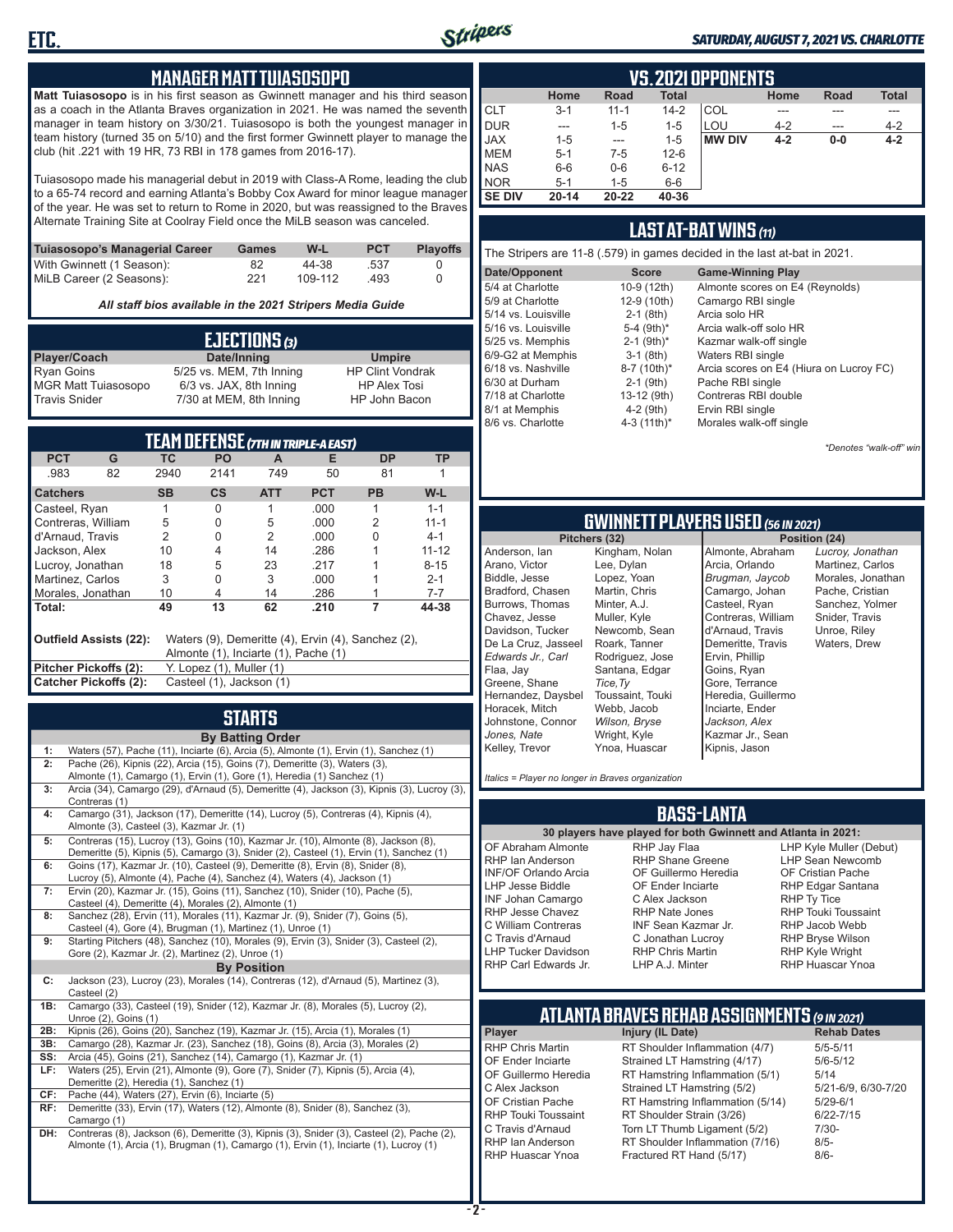

#### *SATURDAY, AUGUST 7, 2021 VS. CHARLOTTE*

#### **MANAGER MATT TUIASOSOPO**

**Matt Tuiasosopo** is in his first season as Gwinnett manager and his third season as a coach in the Atlanta Braves organization in 2021. He was named the seventh manager in team history on 3/30/21. Tuiasosopo is both the youngest manager in team history (turned 35 on 5/10) and the first former Gwinnett player to manage the club (hit .221 with 19 HR, 73 RBI in 178 games from 2016-17).

Tuiasosopo made his managerial debut in 2019 with Class-A Rome, leading the club to a 65-74 record and earning Atlanta's Bobby Cox Award for minor league manager of the year. He was set to return to Rome in 2020, but was reassigned to the Braves Alternate Training Site at Coolray Field once the MiLB season was canceled.

| Tuiasosopo's Managerial Career | Games | W-L     | <b>PCT</b> | <b>Plavoffs</b> |
|--------------------------------|-------|---------|------------|-----------------|
| With Gwinnett (1 Season):      | 82    | 44-38   | .537       |                 |
| MiLB Career (2 Seasons):       | 221   | 109-112 | .493       |                 |

*All staff bios available in the 2021 Stripers Media Guide*

| EJECTIONS (3)              |                          |                         |  |  |  |
|----------------------------|--------------------------|-------------------------|--|--|--|
| Player/Coach               | Date/Inning              | <b>Umpire</b>           |  |  |  |
| <b>Ryan Goins</b>          | 5/25 vs. MEM, 7th Inning | <b>HP Clint Vondrak</b> |  |  |  |
| <b>MGR Matt Tuiasosopo</b> | 6/3 vs. JAX, 8th Inning  | <b>HP Alex Tosi</b>     |  |  |  |
| <b>Travis Snider</b>       | 7/30 at MEM, 8th Inning  | HP John Bacon           |  |  |  |

| TEAM DEFENSE (7TH IN TRIPLE-A EAST)                                                                                  |    |           |                          |                |            |           |           |
|----------------------------------------------------------------------------------------------------------------------|----|-----------|--------------------------|----------------|------------|-----------|-----------|
| <b>PCT</b>                                                                                                           | G  | ТC        | <b>PO</b>                | A              | Е          | <b>DP</b> | ТP        |
| .983                                                                                                                 | 82 | 2940      | 2141                     | 749            | 50         | 81        |           |
| <b>Catchers</b>                                                                                                      |    | <b>SB</b> | $\mathsf{cs}$            | <b>ATT</b>     | <b>PCT</b> | <b>PB</b> | W-L       |
| Casteel, Ryan                                                                                                        |    |           | 0                        |                | .000       |           | $1 - 1$   |
| Contreras, William                                                                                                   |    | 5         | 0                        | 5              | .000       | 2         | $11 - 1$  |
| d'Arnaud, Travis                                                                                                     |    | 2         | O                        | $\mathfrak{p}$ | .000       | 0         | $4 - 1$   |
| Jackson, Alex                                                                                                        |    | 10        | 4                        | 14             | .286       |           | $11 - 12$ |
| Lucroy, Jonathan                                                                                                     |    | 18        | 5                        | 23             | .217       |           | $8 - 15$  |
| Martinez. Carlos                                                                                                     |    | 3         | 0                        | 3              | .000       |           | $2 - 1$   |
| Morales, Jonathan                                                                                                    |    | 10        | 4                        | 14             | .286       |           | $7 - 7$   |
| Total:                                                                                                               |    | 49        | 13                       | 62             | .210       | 7         | 44-38     |
| Outfield Assists (22):<br>Waters (9), Demeritte (4), Ervin (4), Sanchez (2),<br>Almonte (1), Inciarte (1), Pache (1) |    |           |                          |                |            |           |           |
| Pitcher Pickoffs (2):                                                                                                |    |           | Y. Lopez (1), Muller (1) |                |            |           |           |
| Catcher Pickoffs (2):                                                                                                |    |           | Casteel (1), Jackson (1) |                |            |           |           |

## **STARTS**

|     | <b>By Batting Order</b>                                                                     |
|-----|---------------------------------------------------------------------------------------------|
| 1:  | Waters (57), Pache (11), Inciarte (6), Arcia (5), Almonte (1), Ervin (1), Sanchez (1)       |
| 2:  | Pache (26), Kipnis (22), Arcia (15), Goins (7), Demeritte (3), Waters (3),                  |
|     | Almonte (1), Camargo (1), Ervin (1), Gore (1), Heredia (1) Sanchez (1)                      |
| 3:  | Arcia (34), Camargo (29), d'Arnaud (5), Demeritte (4), Jackson (3), Kipnis (3), Lucroy (3), |
|     | Contreras (1)                                                                               |
| 4:  | Camargo (31), Jackson (17), Demeritte (14), Lucroy (5), Contreras (4), Kipnis (4),          |
|     | Almonte (3), Casteel (3), Kazmar Jr. (1)                                                    |
| 5:  | Contreras (15), Lucroy (13), Goins (10), Kazmar Jr. (10), Almonte (8), Jackson (8),         |
|     | Demeritte (5), Kipnis (5), Camargo (3), Snider (2), Casteel (1), Ervin (1), Sanchez (1)     |
| 6:  | Goins (17), Kazmar Jr. (10), Casteel (9), Demeritte (8), Ervin (8), Snider (8),             |
|     | Lucroy (5), Almonte (4), Pache (4), Sanchez (4), Waters (4), Jackson (1)                    |
| 7:  | Ervin (20), Kazmar Jr. (15), Goins (11), Sanchez (10), Snider (10), Pache (5),              |
|     | Casteel (4), Demeritte (4), Morales (2), Almonte (1)                                        |
| 8:  | Sanchez (28), Ervin (11), Morales (11), Kazmar Jr. (9), Snider (7), Goins (5),              |
|     | Casteel (4), Gore (4), Brugman (1), Martinez (1), Unroe (1)                                 |
| 9:  | Starting Pitchers (48), Sanchez (10), Morales (9), Ervin (3), Snider (3), Casteel (2),      |
|     | Gore (2), Kazmar Jr. (2), Martinez (2), Unroe (1)                                           |
|     | <b>By Position</b>                                                                          |
| C:  | Jackson (23), Lucroy (23), Morales (14), Contreras (12), d'Arnaud (5), Martinez (3),        |
|     | Casteel (2)                                                                                 |
| 1B: | Camargo (33), Casteel (19), Snider (12), Kazmar Jr. (8), Morales (5), Lucroy (2),           |
|     | Unroe (2), Goins (1)                                                                        |
| 2B: | Kipnis (26), Goins (20), Sanchez (19), Kazmar Jr. (15), Arcia (1), Morales (1)              |
| 3B: | Camargo (28), Kazmar Jr. (23), Sanchez (18), Goins (8), Arcia (3), Morales (2)              |
| SS: | Arcia (45), Goins (21), Sanchez (14), Camargo (1), Kazmar Jr. (1)                           |
| LF: | Waters (25), Ervin (21), Almonte (9), Gore (7), Snider (7), Kipnis (5), Arcia (4),          |
|     | Demeritte (2), Heredia (1), Sanchez (1)                                                     |
| CF: | Pache (44), Waters (27), Ervin (6), Inciarte (5)                                            |
| RF: | Demeritte (33), Ervin (17), Waters (12), Almonte (8), Snider (8), Sanchez (3),              |
|     | Camargo (1)                                                                                 |
| DH: | Contreras (8), Jackson (6), Demeritte (3), Kipnis (3), Snider (3), Casteel (2), Pache (2),  |
|     | Almonte (1), Arcia (1), Brugman (1), Camargo (1), Ervin (1), Inciarte (1), Lucroy (1)       |
|     |                                                                                             |
|     |                                                                                             |
|     |                                                                                             |

|                                                                     | <b>VS.2021 OPPONENTS</b> |          |          |               |         |       |         |  |  |  |  |  |  |
|---------------------------------------------------------------------|--------------------------|----------|----------|---------------|---------|-------|---------|--|--|--|--|--|--|
| <b>Total</b><br><b>Total</b><br>Home<br>Home<br><b>Road</b><br>Road |                          |          |          |               |         |       |         |  |  |  |  |  |  |
| ICLT                                                                | $3 - 1$                  | $11 - 1$ | $14 - 2$ | COL           |         |       |         |  |  |  |  |  |  |
| <b>DUR</b>                                                          | ---                      | $1 - 5$  | $1 - 5$  | LOU           | $4 - 2$ | ---   | $4 - 2$ |  |  |  |  |  |  |
| <b>JAX</b>                                                          | $1 - 5$                  | ---      | $1 - 5$  | <b>MW DIV</b> | $4 - 2$ | $0-0$ | $4 - 2$ |  |  |  |  |  |  |
| <b>I</b> MEM                                                        | $5 - 1$                  | $7-5$    | $12 - 6$ |               |         |       |         |  |  |  |  |  |  |
| <b>NAS</b>                                                          | $6-6$                    | $0-6$    | $6 - 12$ |               |         |       |         |  |  |  |  |  |  |
| <b>NOR</b>                                                          | $5 - 1$                  | $1 - 5$  | $6-6$    |               |         |       |         |  |  |  |  |  |  |
| <b>SE DIV</b>                                                       | $20 - 14$                | 20-22    | 40-36    |               |         |       |         |  |  |  |  |  |  |

#### **LAST AT-BAT WINS** *(11)*

| The Stripers are 11-8 (.579) in games decided in the last at-bat in 2021. |                          |                                         |  |  |  |  |  |  |  |
|---------------------------------------------------------------------------|--------------------------|-----------------------------------------|--|--|--|--|--|--|--|
| Date/Opponent                                                             | <b>Score</b>             | <b>Game-Winning Play</b>                |  |  |  |  |  |  |  |
| 5/4 at Charlotte                                                          | 10-9 (12th)              | Almonte scores on E4 (Reynolds)         |  |  |  |  |  |  |  |
| 5/9 at Charlotte                                                          | 12-9 (10th)              | Camargo RBI single                      |  |  |  |  |  |  |  |
| 5/14 vs. Louisville                                                       | $2-1$ (8th)              | Arcia solo HR                           |  |  |  |  |  |  |  |
| 5/16 vs. Louisville                                                       | 5-4 (9th)*               | Arcia walk-off solo HR                  |  |  |  |  |  |  |  |
| 5/25 vs. Memphis                                                          | $2-1$ (9th) <sup>*</sup> | Kazmar walk-off single                  |  |  |  |  |  |  |  |
| 6/9-G2 at Memphis                                                         | $3-1$ (8th)              | Waters RBI single                       |  |  |  |  |  |  |  |
| 6/18 vs. Nashville                                                        | 8-7 (10th)*              | Arcia scores on E4 (Hiura on Lucroy FC) |  |  |  |  |  |  |  |
| 6/30 at Durham                                                            | $2-1$ (9th)              | Pache RBI single                        |  |  |  |  |  |  |  |
| 7/18 at Charlotte                                                         | 13-12 (9th)              | Contreras RBI double                    |  |  |  |  |  |  |  |
| 8/1 at Memphis                                                            | $4-2$ (9th)              | Ervin RBI single                        |  |  |  |  |  |  |  |
| 8/6 vs. Charlotte                                                         | 4-3 (11th)*              | Morales walk-off single                 |  |  |  |  |  |  |  |

*\*Denotes "walk-off" win*

# **GWINNETT PLAYERS USED** *(56 IN 2021)*

**Pitchers (32)** Anderson, Ian Arano, Victor Biddle, Jesse Bradford, Chasen Burrows, Thomas Chavez, Jesse Davidson, Tucker De La Cruz, Jasseel *Edwards Jr., Carl* Flaa, Jay Greene, Shane Hernandez, Daysbel Horacek, Mitch Johnstone, Connor *Jones, Nate* Kelley, Trevor Kingham, Nolan Lee, Dylan Lopez, Yoan Martin, Chris Minter, A.J. Muller, Kyle Newcomb, Sean Roark, Tanner Rodriguez, Jose Santana, Edgar *Tice,Ty* Toussaint, Touki Webb, Jacob *Wilson, Bryse* Wright, Kyle Ynoa, Huascar

Almonte, Abraham Arcia, Orlando *Brugman, Jaycob* Camargo, Johan Casteel, Ryan Contreras, William d'Arnaud, Travis Demeritte, Travis Ervin, Phillip Goins, Ryan Gore, Terrance Heredia, Guillermo Inciarte, Ender *Jackson, Alex* Kazmar Jr., Sean Kipnis, Jason

*Lucroy, Jonathan* Martinez, Carlos Morales, Jonathan Pache, Cristian Sanchez, Yolmer Snider, Travis Unroe, Riley Waters, Drew

*Italics = Player no longer in Braves organization*

#### **BASS-LANTA**

OF Abraham Almonte RHP Ian Anderson INF/OF Orlando Arcia LHP Jesse Biddle INF Johan Camargo RHP Jesse Chavez C William Contreras C Travis d'Arnaud LHP Tucker Davidson RHP Carl Edwards Jr.

**30 players have played for both Gwinnett and Atlanta in 2021:** RHP Jay Flaa RHP Shane Greene OF Guillermo Heredia OF Ender Inciarte C Alex Jackson RHP Nate Jones INF Sean Kazmar Jr. C Jonathan Lucroy RHP Chris Martin LHP A.J. Minter

LHP Kyle Muller (Debut) LHP Sean Newcomb OF Cristian Pache RHP Edgar Santana RHP Ty Tice RHP Touki Toussaint RHP Jacob Webb RHP Bryse Wilson RHP Kyle Wright RHP Huascar Ynoa

## **ATLANTA BRAVES REHAB ASSIGNMENTS** *(9 IN 2021)*

**Player Injury (IL Date)** 

RHP Chris Martin RT Shoulder Inflammation (4/7) 5/5-5/11<br>CF Ender Inciarte Strained I T Hamstring (4/17) 5/6-5/12 OF Ender Inciarte Strained LT Hamstring (4/17) 5/6-5<br>OF Guillermo Heredia RT Hamstring Inflammation (5/1) 5/14 OF Guillermo Heredia RT Hamstring Inflammation (5/1) 5/14<br>C Alex Jackson Strained LT Hamstring (5/2) 5/21-6/9, 6/30-7/20 C Alex Jackson Strained LT Hamstring (5/2) 5/21-6/9<br>OF Cristian Pache RT Hamstring Inflammation (5/14) 5/29-6/1 OF Cristian Pache RT Hamstring Inflammation (5/14)<br>RHP Touki Toussaint RT Shoulder Strain (3/26) RHP Touki Toussaint RT Shoulder Strain (3/26) 6/22-7/15<br>C Travis d'Arnaud Torn LT Thumb Ligament (5/2) 7/30-C Travis d'Arnaud Torn LT Thumb Ligament (5/2) 7/30<br>RHP Ian Anderson RT Shoulder Inflammation (7/16) 8/5-RHP Ian Anderson FRT Shoulder Inflammation (7/16)<br>RHP Huascar Ynoa Fractured RT Hand (5/17) Fractured RT Hand (5/17) 8/6-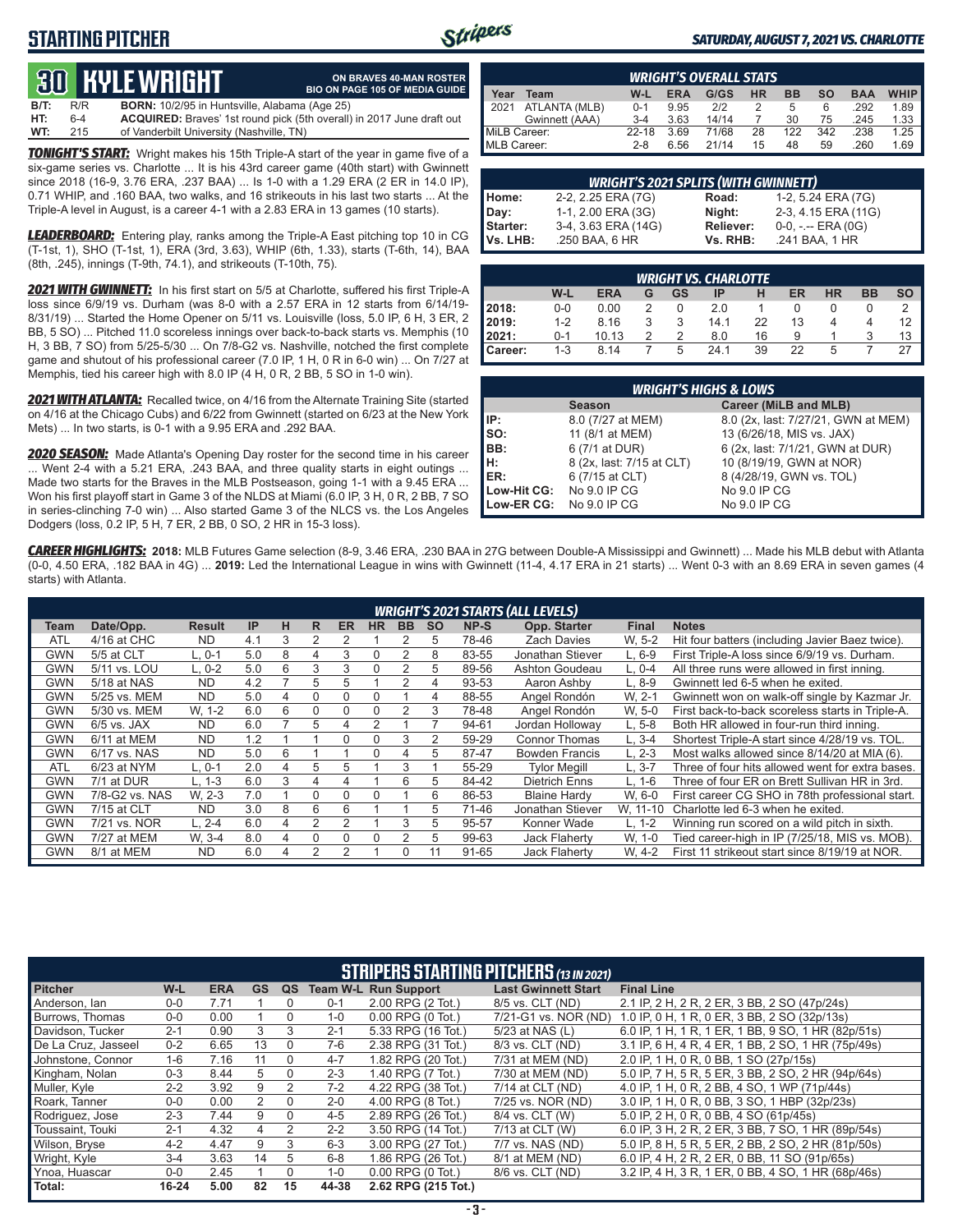### **STARTING PITCHER**



**ON BRAVES 40-MAN ROSTER**

#### *SATURDAY, AUGUST 7, 2021 VS. CHARLOTTE*

# **30****KYLE WRIGHT**

|         |       | <u>tud in le which i</u>                             | <b>BIO ON PAGE 105 OF MEDIA GUIDE</b>                                        |
|---------|-------|------------------------------------------------------|------------------------------------------------------------------------------|
| $B/T$ : | R/R   | <b>BORN:</b> 10/2/95 in Huntsville, Alabama (Age 25) |                                                                              |
| HT:     | $6-4$ |                                                      | <b>ACQUIRED:</b> Braves' 1st round pick (5th overall) in 2017 June draft out |
| WT:     | 215   | of Vanderbilt University (Nashville, TN)             |                                                                              |

*TONIGHT'S START:* Wright makes his 15th Triple-A start of the year in game five of a six-game series vs. Charlotte ... It is his 43rd career game (40th start) with Gwinnett since 2018 (16-9, 3.76 ERA, .237 BAA) ... Is 1-0 with a 1.29 ERA (2 ER in 14.0 IP), 0.71 WHIP, and .160 BAA, two walks, and 16 strikeouts in his last two starts ... At the Triple-A level in August, is a career 4-1 with a 2.83 ERA in 13 games (10 starts).

*LEADERBOARD:* Entering play, ranks among the Triple-A East pitching top 10 in CG (T-1st, 1), SHO (T-1st, 1), ERA (3rd, 3.63), WHIP (6th, 1.33), starts (T-6th, 14), BAA (8th, .245), innings (T-9th, 74.1), and strikeouts (T-10th, 75).

*2021 WITH GWINNETT:* In his first start on 5/5 at Charlotte, suffered his first Triple-A loss since 6/9/19 vs. Durham (was 8-0 with a 2.57 ERA in 12 starts from 6/14/19- 8/31/19) ... Started the Home Opener on 5/11 vs. Louisville (loss, 5.0 IP, 6 H, 3 ER, 2 BB, 5 SO) ... Pitched 11.0 scoreless innings over back-to-back starts vs. Memphis (10 H, 3 BB, 7 SO) from 5/25-5/30 ... On 7/8-G2 vs. Nashville, notched the first complete game and shutout of his professional career (7.0 IP, 1 H, 0 R in 6-0 win) ... On 7/27 at Memphis, tied his career high with 8.0 IP (4 H, 0 R, 2 BB, 5 SO in 1-0 win).

*2021 WITH ATLANTA:* Recalled twice, on 4/16 from the Alternate Training Site (started on 4/16 at the Chicago Cubs) and 6/22 from Gwinnett (started on 6/23 at the New York Mets) ... In two starts, is 0-1 with a 9.95 ERA and .292 BAA.

*2020 SEASON:* Made Atlanta's Opening Day roster for the second time in his career ... Went 2-4 with a 5.21 ERA, .243 BAA, and three quality starts in eight outings ... Made two starts for the Braves in the MLB Postseason, going 1-1 with a 9.45 ERA ... Won his first playoff start in Game 3 of the NLDS at Miami (6.0 IP, 3 H, 0 R, 2 BB, 7 SO in series-clinching 7-0 win) ... Also started Game 3 of the NLCS vs. the Los Angeles Dodgers (loss, 0.2 IP, 5 H, 7 ER, 2 BB, 0 SO, 2 HR in 15-3 loss).

|              | <b>WRIGHT'S OVERALL STATS</b> |         |            |       |           |              |           |            |             |  |  |  |  |
|--------------|-------------------------------|---------|------------|-------|-----------|--------------|-----------|------------|-------------|--|--|--|--|
| Year         | Team                          | W-L     | <b>ERA</b> | G/GS  | <b>HR</b> | <b>BB</b>    | <b>SO</b> | <b>BAA</b> | <b>WHIP</b> |  |  |  |  |
| 12021        | ATLANTA (MLB)                 | $0 - 1$ | 9.95       | 212   |           | <sub>5</sub> | 6         | .292       | 1.89        |  |  |  |  |
|              | Gwinnett (AAA)                | $3-4$   | 3.63       | 14/14 |           | 30           | 75        | .245       | 1.33        |  |  |  |  |
| MiLB Career: |                               | 22-18   | 3.69       | 71/68 | 28        | 122          | 342       | .238       | 1.25        |  |  |  |  |
| MLB Career:  |                               | $2 - 8$ | 6.56       | 21/14 | 15        | 48           | 59        | .260       | 1.69        |  |  |  |  |

|          | <b>WRIGHT'S 2021 SPLITS (WITH GWINNETT)</b> |           |                       |  |  |  |  |  |  |  |  |
|----------|---------------------------------------------|-----------|-----------------------|--|--|--|--|--|--|--|--|
| Home:    | 2-2, 2.25 ERA (7G)                          | Road:     | 1-2, 5.24 ERA (7G)    |  |  |  |  |  |  |  |  |
| Day:     | 1-1, 2.00 ERA (3G)                          | Night:    | 2-3, 4.15 ERA (11G)   |  |  |  |  |  |  |  |  |
| Starter: | 3-4, 3.63 ERA (14G)                         | Reliever: | $0-0, - -$ ERA $(0G)$ |  |  |  |  |  |  |  |  |
| Vs. LHB: | .250 BAA, 6 HR                              | Vs. RHB:  | .241 BAA, 1 HR        |  |  |  |  |  |  |  |  |

|                  | <b>WRIGHT VS. CHARLOTTE</b> |            |   |    |      |    |    |    |           |           |  |  |  |  |  |
|------------------|-----------------------------|------------|---|----|------|----|----|----|-----------|-----------|--|--|--|--|--|
|                  | W-L                         | <b>ERA</b> | G | GS | ΙP   | Н  | ER | HR | <b>BB</b> | <b>SO</b> |  |  |  |  |  |
| 2018:            | $0-0$                       | 0.00       |   |    | 2.0  |    |    |    |           |           |  |  |  |  |  |
| 2019:            | $1 - 2$                     | 8.16       |   | 3  | 14.1 | 22 | 13 |    |           | 12        |  |  |  |  |  |
| 2021:            | $0 - 1$                     | 10.13      | 2 | 2  | 8.0  | 16 | 9  |    |           | 13        |  |  |  |  |  |
| <b>I</b> Career: | $1 - 3$                     | 8.14       |   | 5  | 24 1 | 39 | 22 | 5  |           | 27        |  |  |  |  |  |

| <b>WRIGHT'S HIGHS &amp; LOWS</b> |                           |                                     |  |  |  |  |  |  |  |  |
|----------------------------------|---------------------------|-------------------------------------|--|--|--|--|--|--|--|--|
|                                  | <b>Season</b>             | Career (MiLB and MLB)               |  |  |  |  |  |  |  |  |
| IIP:                             | 8.0 (7/27 at MEM)         | 8.0 (2x, last: 7/27/21, GWN at MEM) |  |  |  |  |  |  |  |  |
| so:                              | 11 (8/1 at MEM)           | 13 (6/26/18, MIS vs. JAX)           |  |  |  |  |  |  |  |  |
| BB:                              | 6 (7/1 at DUR)            | 6 (2x, last: 7/1/21, GWN at DUR)    |  |  |  |  |  |  |  |  |
| H:                               | 8 (2x, last: 7/15 at CLT) | 10 (8/19/19, GWN at NOR)            |  |  |  |  |  |  |  |  |
| <b>IER:</b>                      | 6 (7/15 at CLT)           | 8 (4/28/19, GWN vs. TOL)            |  |  |  |  |  |  |  |  |
| Low-Hit CG:                      | No 9.0 IP CG              | No 9.0 IP CG                        |  |  |  |  |  |  |  |  |
| Low-ER CG:                       | No 9.0 IP CG              | No 9.0 IP CG                        |  |  |  |  |  |  |  |  |

*CAREER HIGHLIGHTS:* **2018:** MLB Futures Game selection (8-9, 3.46 ERA, .230 BAA in 27G between Double-A Mississippi and Gwinnett) ... Made his MLB debut with Atlanta (0-0, 4.50 ERA, .182 BAA in 4G) ... **2019:** Led the International League in wins with Gwinnett (11-4, 4.17 ERA in 21 starts) ... Went 0-3 with an 8.69 ERA in seven games (4 starts) with Atlanta.

|            | <b>WRIGHT'S 2021 STARTS (ALL LEVELS)</b> |               |     |   |   |           |           |           |           |       |                       |          |                                                  |
|------------|------------------------------------------|---------------|-----|---|---|-----------|-----------|-----------|-----------|-------|-----------------------|----------|--------------------------------------------------|
| Team       | Date/Opp.                                | <b>Result</b> | IP  | н | R | <b>ER</b> | <b>HR</b> | <b>BB</b> | <b>SO</b> | NP-S  | Opp. Starter          | Final    | <b>Notes</b>                                     |
| <b>ATL</b> | 4/16 at CHC                              | <b>ND</b>     | 4.1 | 3 | 2 |           |           |           | 5         | 78-46 | <b>Zach Davies</b>    | W. 5-2   | Hit four batters (including Javier Baez twice).  |
| <b>GWN</b> | 5/5 at CLT                               | $L.0-1$       | 5.0 | 8 | 4 | 3         | 0         |           | 8         | 83-55 | Jonathan Stiever      | $L.6-9$  | First Triple-A loss since 6/9/19 vs. Durham.     |
| <b>GWN</b> | 5/11 vs. LOU                             | L. 0-2        | 5.0 | 6 | 3 | 3         | $\Omega$  |           | 5         | 89-56 | <b>Ashton Goudeau</b> | $L, 0-4$ | All three runs were allowed in first inning.     |
| <b>GWN</b> | 5/18 at NAS                              | <b>ND</b>     | 4.2 |   | 5 | 5         |           |           | 4         | 93-53 | Aaron Ashby           | $L.8-9$  | Gwinnett led 6-5 when he exited.                 |
| <b>GWN</b> | 5/25 vs. MEM                             | <b>ND</b>     | 5.0 | 4 | 0 | $\Omega$  | 0         |           | 4         | 88-55 | Angel Rondón          | W. 2-1   | Gwinnett won on walk-off single by Kazmar Jr.    |
| <b>GWN</b> | 5/30 vs. MEM                             | W. 1-2        | 6.0 | 6 | 0 | $\Omega$  | $\Omega$  | 2         | 3         | 78-48 | Angel Rondón          | W. 5-0   | First back-to-back scoreless starts in Triple-A. |
| <b>GWN</b> | $6/5$ vs. JAX                            | <b>ND</b>     | 6.0 |   | 5 | 4         | 2         |           |           | 94-61 | Jordan Holloway       | $L, 5-8$ | Both HR allowed in four-run third inning.        |
| <b>GWN</b> | 6/11 at MEM                              | <b>ND</b>     | 1.2 |   |   | $\Omega$  | $\Omega$  | 3         | 2         | 59-29 | <b>Connor Thomas</b>  | $L.3-4$  | Shortest Triple-A start since 4/28/19 vs. TOL.   |
| <b>GWN</b> | 6/17 vs. NAS                             | <b>ND</b>     | 5.0 | 6 |   |           | 0         | 4         | 5         | 87-47 | <b>Bowden Francis</b> | $L. 2-3$ | Most walks allowed since 8/14/20 at MIA (6).     |
| <b>ATL</b> | 6/23 at NYM                              | L. 0-1        | 2.0 | 4 | 5 | 5         |           | 3         |           | 55-29 | <b>Tvlor Meaill</b>   | L. 3-7   | Three of four hits allowed went for extra bases. |
| <b>GWN</b> | 7/1 at DUR                               | $L. 1-3$      | 6.0 | 3 | 4 | 4         |           | 6         | 5         | 84-42 | <b>Dietrich Enns</b>  | $L. 1-6$ | Three of four ER on Brett Sullivan HR in 3rd.    |
| <b>GWN</b> | 7/8-G2 vs. NAS                           | W. 2-3        | 7.0 |   | 0 | $\Omega$  | $\Omega$  |           | 6         | 86-53 | <b>Blaine Hardy</b>   | W. 6-0   | First career CG SHO in 78th professional start.  |
| <b>GWN</b> | 7/15 at CLT                              | <b>ND</b>     | 3.0 | 8 | 6 | 6         |           |           | 5         | 71-46 | Jonathan Stiever      | W. 11-10 | Charlotte led 6-3 when he exited.                |
| <b>GWN</b> | 7/21 vs. NOR                             | L. 2-4        | 6.0 | 4 | 2 |           |           | 3         | 5         | 95-57 | Konner Wade           | $L. 1-2$ | Winning run scored on a wild pitch in sixth.     |
| <b>GWN</b> | 7/27 at MEM                              | W. 3-4        | 8.0 | 4 | 0 | 0         | 0         |           | 5         | 99-63 | Jack Flaherty         | W, 1-0   | Tied career-high in IP (7/25/18, MIS vs. MOB).   |
| <b>GWN</b> | 8/1 at MEM                               | <b>ND</b>     | 6.0 | 4 | 2 | 2         |           | 0         | 11        | 91-65 | <b>Jack Flaherty</b>  | W. 4-2   | First 11 strikeout start since 8/19/19 at NOR.   |

|                     | <b>STRIPERS STARTING PITCHERS (13 IN 2021)</b> |            |           |               |         |                             |                            |                                                    |  |  |  |  |  |
|---------------------|------------------------------------------------|------------|-----------|---------------|---------|-----------------------------|----------------------------|----------------------------------------------------|--|--|--|--|--|
| <b>Pitcher</b>      | W-L                                            | <b>ERA</b> | <b>GS</b> | QS            |         | <b>Team W-L Run Support</b> | <b>Last Gwinnett Start</b> | <b>Final Line</b>                                  |  |  |  |  |  |
| Anderson, Ian       | $0 - 0$                                        | 7.71       |           |               | $0 - 1$ | 2.00 RPG (2 Tot.)           | 8/5 vs. CLT (ND)           | 2.1 IP, 2 H, 2 R, 2 ER, 3 BB, 2 SO (47p/24s)       |  |  |  |  |  |
| Burrows. Thomas     | $0 - 0$                                        | 0.00       |           | 0             | $1 - 0$ | $0.00$ RPG $(0$ Tot.)       | 7/21-G1 vs. NOR (ND)       | 1.0 IP, 0 H, 1 R, 0 ER, 3 BB, 2 SO (32p/13s)       |  |  |  |  |  |
| Davidson, Tucker    | $2 - 1$                                        | 0.90       | 3         | 3             | $2 - 1$ | 5.33 RPG (16 Tot.)          | 5/23 at NAS (L)            | 6.0 IP, 1 H, 1 R, 1 ER, 1 BB, 9 SO, 1 HR (82p/51s) |  |  |  |  |  |
| De La Cruz, Jasseel | $0 - 2$                                        | 6.65       | 13        | 0             | 7-6     | 2.38 RPG (31 Tot.)          | 8/3 vs. CLT (ND)           | 3.1 IP, 6 H, 4 R, 4 ER, 1 BB, 2 SO, 1 HR (75p/49s) |  |  |  |  |  |
| Johnstone, Connor   | $1 - 6$                                        | 7.16       | 11        | 0             | $4 - 7$ | 1.82 RPG (20 Tot.)          | 7/31 at MEM (ND)           | 2.0 IP, 1 H, 0 R, 0 BB, 1 SO (27p/15s)             |  |  |  |  |  |
| Kingham, Nolan      | $0 - 3$                                        | 8.44       | 5         | 0             | $2 - 3$ | 1.40 RPG (7 Tot.)           | 7/30 at MEM (ND)           | 5.0 IP, 7 H, 5 R, 5 ER, 3 BB, 2 SO, 2 HR (94p/64s) |  |  |  |  |  |
| Muller, Kyle        | $2 - 2$                                        | 3.92       | 9         | 2             | $7 - 2$ | 4.22 RPG (38 Tot.)          | 7/14 at CLT (ND)           | 4.0 IP. 1 H, 0 R, 2 BB, 4 SO, 1 WP (71p/44s)       |  |  |  |  |  |
| Roark. Tanner       | $0 - 0$                                        | 0.00       | 2         | $\Omega$      | $2 - 0$ | 4.00 RPG (8 Tot.)           | 7/25 vs. NOR (ND)          | 3.0 IP, 1 H, 0 R, 0 BB, 3 SO, 1 HBP (32p/23s)      |  |  |  |  |  |
| Rodriguez, Jose     | $2 - 3$                                        | 7.44       | 9         | 0             | $4 - 5$ | 2.89 RPG (26 Tot.)          | 8/4 vs. CLT (W)            | 5.0 IP, 2 H, 0 R, 0 BB, 4 SO (61p/45s)             |  |  |  |  |  |
| Toussaint, Touki    | $2 - 1$                                        | 4.32       | 4         | $\mathcal{P}$ | $2 - 2$ | 3.50 RPG (14 Tot.)          | 7/13 at CLT (W)            | 6.0 IP, 3 H, 2 R, 2 ER, 3 BB, 7 SO, 1 HR (89p/54s) |  |  |  |  |  |
| Wilson, Bryse       | $4 - 2$                                        | 4.47       | 9         | 3             | $6 - 3$ | 3.00 RPG (27 Tot.)          | 7/7 vs. NAS (ND)           | 5.0 IP, 8 H, 5 R, 5 ER, 2 BB, 2 SO, 2 HR (81p/50s) |  |  |  |  |  |
| Wright, Kyle        | $3-4$                                          | 3.63       | 14        | 5             | $6 - 8$ | 1.86 RPG (26 Tot.)          | 8/1 at MEM (ND)            | 6.0 IP, 4 H, 2 R, 2 ER, 0 BB, 11 SO (91p/65s)      |  |  |  |  |  |
| Ynoa, Huascar       | $0 - 0$                                        | 2.45       |           | 0             | $1 - 0$ | 0.00 RPG (0 Tot.)           | 8/6 vs. CLT (ND)           | 3.2 IP, 4 H, 3 R, 1 ER, 0 BB, 4 SO, 1 HR (68p/46s) |  |  |  |  |  |
| Total:              | $16 - 24$                                      | 5.00       | 82        | 15            | 44-38   | 2.62 RPG (215 Tot.)         |                            |                                                    |  |  |  |  |  |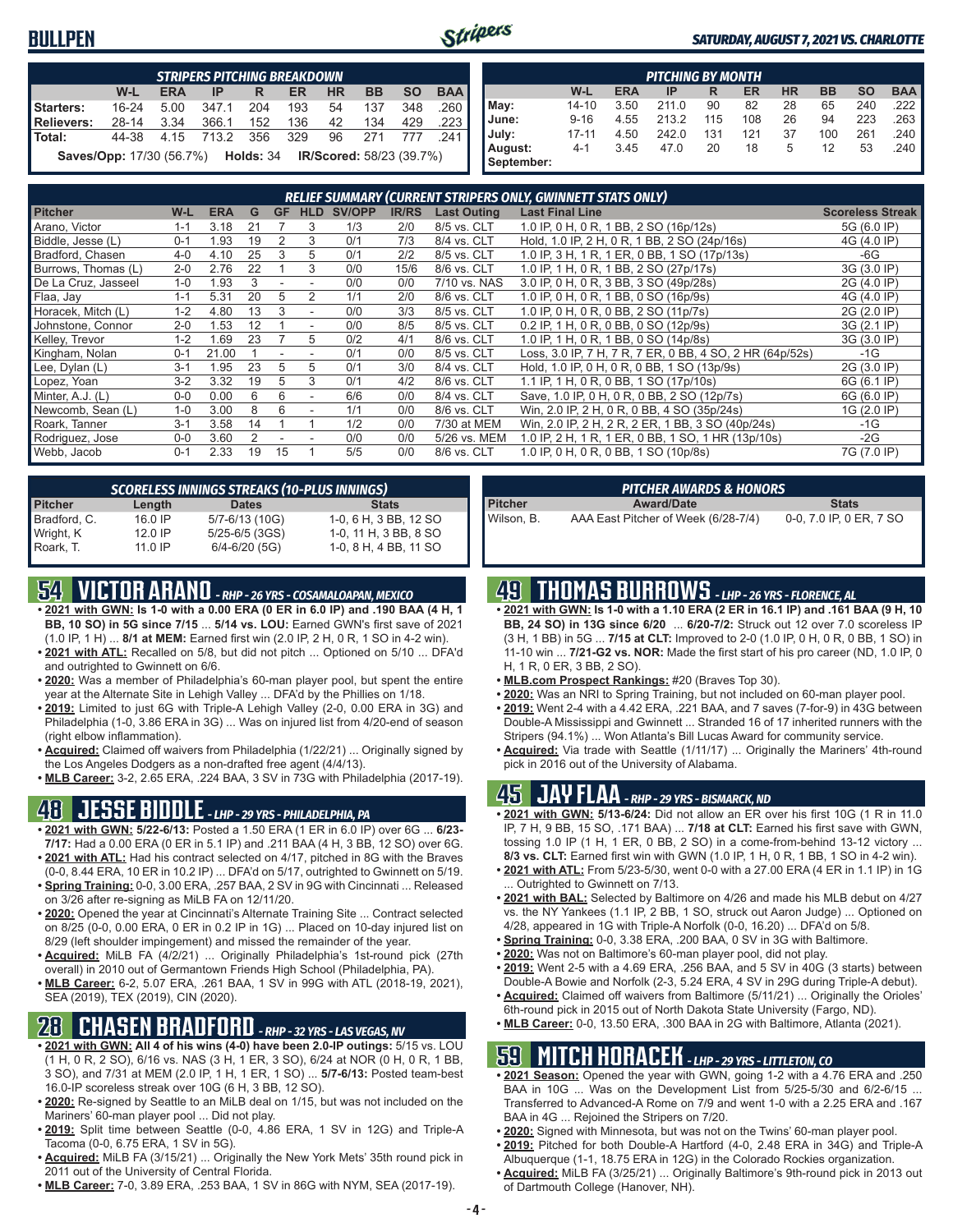#### **BULLPEN**



#### *SATURDAY, AUGUST 7, 2021 VS. CHARLOTTE*

|                   | <b>STRIPERS PITCHING BREAKDOWN</b>                                                  |            |            |      |     |           |           |           |            |  |  |  |
|-------------------|-------------------------------------------------------------------------------------|------------|------------|------|-----|-----------|-----------|-----------|------------|--|--|--|
|                   | $W-L$                                                                               | <b>ERA</b> | IP         | R    | ER  | <b>HR</b> | <b>BB</b> | <b>SO</b> | <b>BAA</b> |  |  |  |
| Starters:         | $16 - 24$                                                                           | 5.00       | 347.1      | 204  | 193 | 54        | 137       | 348       | .260       |  |  |  |
| <b>Relievers:</b> | $28 - 14$                                                                           | 3.34       | 366.1      | 152  | 136 | 42        | 134       | 429       | .223       |  |  |  |
| Total:            | 44-38                                                                               |            | 4.15 713.2 | -356 | 329 | 96        | 271       | 777       | -241       |  |  |  |
|                   | <b>Saves/Opp:</b> 17/30 (56.7%) <b>Holds:</b> 34<br><b>IR/Scored: 58/23 (39.7%)</b> |            |            |      |     |           |           |           |            |  |  |  |

|            | <b>PITCHING BY MONTH</b>                                                                |      |       |     |     |    |     |     |                       |  |  |  |  |  |
|------------|-----------------------------------------------------------------------------------------|------|-------|-----|-----|----|-----|-----|-----------------------|--|--|--|--|--|
|            | <b>BAA</b><br>W-L<br><b>HR</b><br><b>BB</b><br><b>SO</b><br><b>ERA</b><br>ER<br>IP<br>R |      |       |     |     |    |     |     |                       |  |  |  |  |  |
| May:       | $14 - 10$                                                                               | 3.50 | 211.0 | 90  | 82  | 28 | 65  | 240 | .222 ∥                |  |  |  |  |  |
| June:      | $9 - 16$                                                                                | 4.55 | 213.2 | 115 | 108 | 26 | 94  | 223 | .263                  |  |  |  |  |  |
| July:      | $17 - 11$                                                                               | 4.50 | 242.0 | 131 | 121 | 37 | 100 | 261 | $.240$ $\blacksquare$ |  |  |  |  |  |
| August:    | $4 - 1$                                                                                 | 3.45 | 47.0  | 20  | 18  | 5  | 12  | 53  | $.240$ $\blacksquare$ |  |  |  |  |  |
| September: |                                                                                         |      |       |     |     |    |     |     |                       |  |  |  |  |  |

| <b>RELIEF SUMMARY (CURRENT STRIPERS ONLY, GWINNETT STATS ONLY)</b> |         |            |    |           |                          |               |              |                    |                                                          |                         |
|--------------------------------------------------------------------|---------|------------|----|-----------|--------------------------|---------------|--------------|--------------------|----------------------------------------------------------|-------------------------|
| <b>Pitcher</b>                                                     | $W-L$   | <b>ERA</b> | G  | <b>GF</b> | <b>HLD</b>               | <b>SV/OPP</b> | <b>IR/RS</b> | <b>Last Outing</b> | <b>Last Final Line</b>                                   | <b>Scoreless Streak</b> |
| Arano, Victor                                                      | $1 - 1$ | 3.18       | 21 |           | 3                        | 1/3           | 2/0          | 8/5 vs. CLT        | 1.0 IP, 0 H, 0 R, 1 BB, 2 SO (16p/12s)                   | 5G (6.0 IP)             |
| Biddle, Jesse (L)                                                  | $0 - 1$ | 1.93       | 19 | 2         | 3                        | 0/1           | 7/3          | 8/4 vs. CLT        | Hold, 1.0 IP, 2 H, 0 R, 1 BB, 2 SO (24p/16s)             | 4G (4.0 IP)             |
| Bradford, Chasen                                                   | $4 - 0$ | 4.10       | 25 | 3         | 5                        | 0/1           | 2/2          | 8/5 vs. CLT        | 1.0 IP, 3 H, 1 R, 1 ER, 0 BB, 1 SO (17p/13s)             | -6G                     |
| Burrows, Thomas (L)                                                | $2 - 0$ | 2.76       | 22 |           | 3                        | 0/0           | 15/6         | 8/6 vs. CLT        | 1.0 IP, 1 H, 0 R, 1 BB, 2 SO (27p/17s)                   | 3G (3.0 IP)             |
| De La Cruz, Jasseel                                                | $1 - 0$ | 1.93       | 3  |           |                          | 0/0           | 0/0          | 7/10 vs. NAS       | 3.0 IP, 0 H, 0 R, 3 BB, 3 SO (49p/28s)                   | 2G (4.0 IP)             |
| Flaa, Jay                                                          | $1 - 1$ | 5.31       | 20 | 5         |                          | 1/1           | 2/0          | 8/6 vs. CLT        | 1.0 IP, 0 H, 0 R, 1 BB, 0 SO (16p/9s)                    | 4G (4.0 IP)             |
| Horacek, Mitch (L)                                                 | $1 - 2$ | 4.80       | 13 | 3         |                          | 0/0           | 3/3          | 8/5 vs. CLT        | 1.0 IP, 0 H, 0 R, 0 BB, 2 SO (11p/7s)                    | 2G (2.0 IP)             |
| Johnstone, Connor                                                  | $2 - 0$ | 1.53       | 12 |           | $\blacksquare$           | 0/0           | 8/5          | 8/5 vs. CLT        | 0.2 IP, 1 H, 0 R, 0 BB, 0 SO (12p/9s)                    | 3G (2.1 IP)             |
| Kelley, Trevor                                                     | $1 - 2$ | 1.69       | 23 |           | 5                        | 0/2           | 4/1          | 8/6 vs. CLT        | 1.0 IP, 1 H, 0 R, 1 BB, 0 SO (14p/8s)                    | 3G (3.0 IP)             |
| Kingham, Nolan                                                     | $0 - 1$ | 21.00      |    |           |                          | 0/1           | 0/0          | 8/5 vs. CLT        | Loss, 3.0 IP, 7 H, 7 R, 7 ER, 0 BB, 4 SO, 2 HR (64p/52s) | $-1G$                   |
| Lee, Dylan (L)                                                     | $3 - 1$ | 1.95       | 23 | 5         | 5                        | 0/1           | 3/0          | 8/4 vs. CLT        | Hold, 1.0 IP, 0 H, 0 R, 0 BB, 1 SO (13p/9s)              | 2G (3.0 IP)             |
| Lopez, Yoan                                                        | $3-2$   | 3.32       | 19 | 5         | 3                        | 0/1           | 4/2          | 8/6 vs. CLT        | 1.1 IP, 1 H, 0 R, 0 BB, 1 SO (17p/10s)                   | 6G (6.1 IP)             |
| Minter, A.J. (L)                                                   | $0 - 0$ | 0.00       | 6  | 6         | $\blacksquare$           | 6/6           | 0/0          | 8/4 vs. CLT        | Save, 1.0 IP, 0 H, 0 R, 0 BB, 2 SO (12p/7s)              | 6G (6.0 IP)             |
| Newcomb, Sean (L)                                                  | $1 - 0$ | 3.00       | 8  | 6         | $\overline{\phantom{a}}$ | 1/1           | 0/0          | 8/6 vs. CLT        | Win, 2.0 IP, 2 H, 0 R, 0 BB, 4 SO (35p/24s)              | 1G (2.0 IP)             |
| Roark, Tanner                                                      | $3 - 1$ | 3.58       | 14 |           |                          | 1/2           | 0/0          | 7/30 at MEM        | Win, 2.0 IP, 2 H, 2 R, 2 ER, 1 BB, 3 SO (40p/24s)        | $-1G$                   |
| Rodriguez, Jose                                                    | $0 - 0$ | 3.60       |    |           |                          | 0/0           | 0/0          | 5/26 vs. MEM       | 1.0 IP, 2 H, 1 R, 1 ER, 0 BB, 1 SO, 1 HR (13p/10s)       | -2G                     |
| Webb, Jacob                                                        | $0 - 1$ | 2.33       | 19 | 15        |                          | 5/5           | 0/0          | 8/6 vs. CLT        | 1.0 IP, 0 H, 0 R, 0 BB, 1 SO (10p/8s)                    | 7G (7.0 IP)             |

| <b>SCORELESS INNINGS STREAKS (10-PLUS INNINGS)</b> |           |                    |                       |  |  |  |
|----------------------------------------------------|-----------|--------------------|-----------------------|--|--|--|
| <b>Pitcher</b>                                     | Length    | <b>Dates</b>       | <b>Stats</b>          |  |  |  |
| Bradford, C.                                       | 16.0 IP   | 5/7-6/13 (10G)     | 1-0, 6 H, 3 BB, 12 SO |  |  |  |
| Wright, K                                          | $12.0$ IP | $5/25 - 6/5$ (3GS) | 1-0, 11 H, 3 BB, 8 SO |  |  |  |
| Roark, T.                                          | 11 0 IP   | $6/4 - 6/20$ (5G)  | 1-0, 8 H, 4 BB, 11 SO |  |  |  |

## **54 VICTOR ARANO** *- RHP - 26 YRS - COSAMALOAPAN, MEXICO*

- **• 2021 with GWN: Is 1-0 with a 0.00 ERA (0 ER in 6.0 IP) and .190 BAA (4 H, 1 BB, 10 SO) in 5G since 7/15** ... **5/14 vs. LOU:** Earned GWN's first save of 2021
- (1.0 IP, 1 H) ... **8/1 at MEM:** Earned first win (2.0 IP, 2 H, 0 R, 1 SO in 4-2 win). **• 2021 with ATL:** Recalled on 5/8, but did not pitch ... Optioned on 5/10 ... DFA'd and outrighted to Gwinnett on 6/6.
- **• 2020:** Was a member of Philadelphia's 60-man player pool, but spent the entire year at the Alternate Site in Lehigh Valley ... DFA'd by the Phillies on 1/18.
- **• 2019:** Limited to just 6G with Triple-A Lehigh Valley (2-0, 0.00 ERA in 3G) and Philadelphia (1-0, 3.86 ERA in 3G) ... Was on injured list from 4/20-end of season (right elbow inflammation).
- **• Acquired:** Claimed off waivers from Philadelphia (1/22/21) ... Originally signed by the Los Angeles Dodgers as a non-drafted free agent (4/4/13).
- **• MLB Career:** 3-2, 2.65 ERA, .224 BAA, 3 SV in 73G with Philadelphia (2017-19).

## **48 JESSE BIDDLE** *- LHP - 29 YRS - PHILADELPHIA, PA*

- **• 2021 with GWN: 5/22-6/13:** Posted a 1.50 ERA (1 ER in 6.0 IP) over 6G ... **6/23- 7/17:** Had a 0.00 ERA (0 ER in 5.1 IP) and .211 BAA (4 H, 3 BB, 12 SO) over 6G.
- **• 2021 with ATL:** Had his contract selected on 4/17, pitched in 8G with the Braves (0-0, 8.44 ERA, 10 ER in 10.2 IP) ... DFA'd on 5/17, outrighted to Gwinnett on 5/19.
- **• Spring Training:** 0-0, 3.00 ERA, .257 BAA, 2 SV in 9G with Cincinnati ... Released on 3/26 after re-signing as MiLB FA on 12/11/20.
- **• 2020:** Opened the year at Cincinnati's Alternate Training Site ... Contract selected on 8/25 (0-0, 0.00 ERA, 0 ER in 0.2 IP in 1G) ... Placed on 10-day injured list on 8/29 (left shoulder impingement) and missed the remainder of the year.
- **• Acquired:** MiLB FA (4/2/21) ... Originally Philadelphia's 1st-round pick (27th overall) in 2010 out of Germantown Friends High School (Philadelphia, PA).
- **• MLB Career:** 6-2, 5.07 ERA, .261 BAA, 1 SV in 99G with ATL (2018-19, 2021), SEA (2019), TEX (2019), CIN (2020).

## **28 CHASEN BRADFORD** *- RHP - 32 YRS - LAS VEGAS, NV*

- **• 2021 with GWN: All 4 of his wins (4-0) have been 2.0-IP outings:** 5/15 vs. LOU (1 H, 0 R, 2 SO), 6/16 vs. NAS (3 H, 1 ER, 3 SO), 6/24 at NOR (0 H, 0 R, 1 BB, 3 SO), and 7/31 at MEM (2.0 IP, 1 H, 1 ER, 1 SO) ... **5/7-6/13:** Posted team-best 16.0-IP scoreless streak over 10G (6 H, 3 BB, 12 SO).
- **• 2020:** Re-signed by Seattle to an MiLB deal on 1/15, but was not included on the Mariners' 60-man player pool ... Did not play.
- **• 2019:** Split time between Seattle (0-0, 4.86 ERA, 1 SV in 12G) and Triple-A Tacoma (0-0, 6.75 ERA, 1 SV in 5G).
- **• Acquired:** MiLB FA (3/15/21) ... Originally the New York Mets' 35th round pick in 2011 out of the University of Central Florida.
- **• MLB Career:** 7-0, 3.89 ERA, .253 BAA, 1 SV in 86G with NYM, SEA (2017-19).

| <b>PITCHER AWARDS &amp; HONORS</b> |  |
|------------------------------------|--|
|                                    |  |
| <b>Award/Date</b>                  |  |
|                                    |  |

**Pitcher Award/Date Stats** Wilson, B. AAA East Pitcher of Week (6/28-7/4) 0-0, 7.0 IP, 0 ER, 7 SO

#### **49 THOMAS BURROWS** *- LHP - 26 YRS - FLORENCE, AL*

- **• 2021 with GWN: Is 1-0 with a 1.10 ERA (2 ER in 16.1 IP) and .161 BAA (9 H, 10 BB, 24 SO) in 13G since 6/20** ... **6/20-7/2:** Struck out 12 over 7.0 scoreless IP (3 H, 1 BB) in 5G ... **7/15 at CLT:** Improved to 2-0 (1.0 IP, 0 H, 0 R, 0 BB, 1 SO) in 11-10 win ... **7/21-G2 vs. NOR:** Made the first start of his pro career (ND, 1.0 IP, 0 H, 1 R, 0 ER, 3 BB, 2 SO).
- **• MLB.com Prospect Rankings:** #20 (Braves Top 30).
- **• 2020:** Was an NRI to Spring Training, but not included on 60-man player pool.
- **• 2019:** Went 2-4 with a 4.42 ERA, .221 BAA, and 7 saves (7-for-9) in 43G between Double-A Mississippi and Gwinnett ... Stranded 16 of 17 inherited runners with the Stripers (94.1%) ... Won Atlanta's Bill Lucas Award for community service.
- **• Acquired:** Via trade with Seattle (1/11/17) ... Originally the Mariners' 4th-round pick in 2016 out of the University of Alabama.

#### **45 JAY FLAA** *- RHP - 29 YRS - BISMARCK, ND*

- **• 2021 with GWN: 5/13-6/24:** Did not allow an ER over his first 10G (1 R in 11.0 IP, 7 H, 9 BB, 15 SO, .171 BAA) ... **7/18 at CLT:** Earned his first save with GWN, tossing 1.0 IP (1 H, 1 ER, 0 BB, 2 SO) in a come-from-behind 13-12 victory ... **8/3 vs. CLT:** Earned first win with GWN (1.0 IP, 1 H, 0 R, 1 BB, 1 SO in 4-2 win).
- **• 2021 with ATL:** From 5/23-5/30, went 0-0 with a 27.00 ERA (4 ER in 1.1 IP) in 1G ... Outrighted to Gwinnett on 7/13.
- **• 2021 with BAL:** Selected by Baltimore on 4/26 and made his MLB debut on 4/27 vs. the NY Yankees (1.1 IP, 2 BB, 1 SO, struck out Aaron Judge) ... Optioned on 4/28, appeared in 1G with Triple-A Norfolk (0-0, 16.20) ... DFA'd on 5/8.
- **• Spring Training:** 0-0, 3.38 ERA, .200 BAA, 0 SV in 3G with Baltimore.
- **• 2020:** Was not on Baltimore's 60-man player pool, did not play.
- **• 2019:** Went 2-5 with a 4.69 ERA, .256 BAA, and 5 SV in 40G (3 starts) between Double-A Bowie and Norfolk (2-3, 5.24 ERA, 4 SV in 29G during Triple-A debut).
- **• Acquired:** Claimed off waivers from Baltimore (5/11/21) ... Originally the Orioles' 6th-round pick in 2015 out of North Dakota State University (Fargo, ND).
- **• MLB Career:** 0-0, 13.50 ERA, .300 BAA in 2G with Baltimore, Atlanta (2021).

#### **59 MITCH HORACEK** *- LHP - 29 YRS - LITTLETON, CO*

- **• 2021 Season:** Opened the year with GWN, going 1-2 with a 4.76 ERA and .250 BAA in 10G ... Was on the Development List from 5/25-5/30 and 6/2-6/15 ... Transferred to Advanced-A Rome on 7/9 and went 1-0 with a 2.25 ERA and .167 BAA in 4G ... Rejoined the Stripers on 7/20.
- **• 2020:** Signed with Minnesota, but was not on the Twins' 60-man player pool.
- **• 2019:** Pitched for both Double-A Hartford (4-0, 2.48 ERA in 34G) and Triple-A Albuquerque (1-1, 18.75 ERA in 12G) in the Colorado Rockies organization.
- **• Acquired:** MiLB FA (3/25/21) ... Originally Baltimore's 9th-round pick in 2013 out of Dartmouth College (Hanover, NH).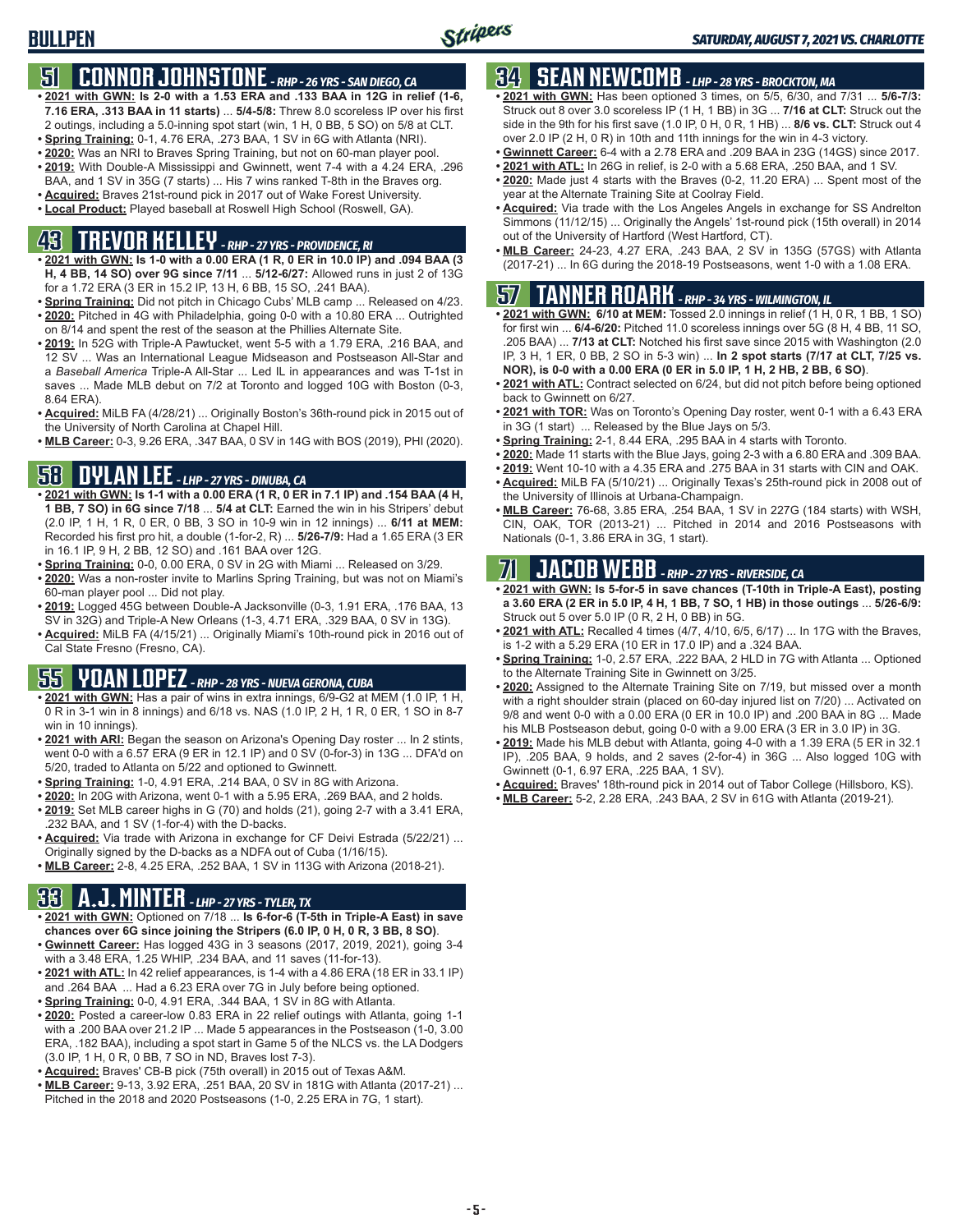## **51 CONNOR JOHNSTONE** *- RHP - 26 YRS - SAN DIEGO, CA*

- **• 2021 with GWN: Is 2-0 with a 1.53 ERA and .133 BAA in 12G in relief (1-6, 7.16 ERA, .313 BAA in 11 starts)** ... **5/4-5/8:** Threw 8.0 scoreless IP over his first 2 outings, including a 5.0-inning spot start (win, 1 H, 0 BB, 5 SO) on 5/8 at CLT.
- **• Spring Training:** 0-1, 4.76 ERA, .273 BAA, 1 SV in 6G with Atlanta (NRI).
- **• 2020:** Was an NRI to Braves Spring Training, but not on 60-man player pool.
- **• 2019:** With Double-A Mississippi and Gwinnett, went 7-4 with a 4.24 ERA, .296 BAA, and 1 SV in 35G (7 starts) ... His 7 wins ranked T-8th in the Braves org.
- **• Acquired:** Braves 21st-round pick in 2017 out of Wake Forest University.
- **• Local Product:** Played baseball at Roswell High School (Roswell, GA).

# **43 TREVOR KELLEY** *- RHP - 27 YRS - PROVIDENCE, RI*

- **• 2021 with GWN: Is 1-0 with a 0.00 ERA (1 R, 0 ER in 10.0 IP) and .094 BAA (3 H, 4 BB, 14 SO) over 9G since 7/11** ... **5/12-6/27:** Allowed runs in just 2 of 13G for a 1.72 ERA (3 ER in 15.2 IP, 13 H, 6 BB, 15 SO, .241 BAA).
- **• Spring Training:** Did not pitch in Chicago Cubs' MLB camp ... Released on 4/23. **• 2020:** Pitched in 4G with Philadelphia, going 0-0 with a 10.80 ERA ... Outrighted on 8/14 and spent the rest of the season at the Phillies Alternate Site.
- **• 2019:** In 52G with Triple-A Pawtucket, went 5-5 with a 1.79 ERA, .216 BAA, and 12 SV ... Was an International League Midseason and Postseason All-Star and a *Baseball America* Triple-A All-Star ... Led IL in appearances and was T-1st in saves ... Made MLB debut on 7/2 at Toronto and logged 10G with Boston (0-3, 8.64 ERA).
- **• Acquired:** MiLB FA (4/28/21) ... Originally Boston's 36th-round pick in 2015 out of the University of North Carolina at Chapel Hill.
- **• MLB Career:** 0-3, 9.26 ERA, .347 BAA, 0 SV in 14G with BOS (2019), PHI (2020).

## **58 DYLAN LEE** *- LHP - 27 YRS - DINUBA, CA*

- **• 2021 with GWN: Is 1-1 with a 0.00 ERA (1 R, 0 ER in 7.1 IP) and .154 BAA (4 H, 1 BB, 7 SO) in 6G since 7/18** ... **5/4 at CLT:** Earned the win in his Stripers' debut (2.0 IP, 1 H, 1 R, 0 ER, 0 BB, 3 SO in 10-9 win in 12 innings) ... **6/11 at MEM:** Recorded his first pro hit, a double (1-for-2, R) ... **5/26-7/9:** Had a 1.65 ERA (3 ER in 16.1 IP, 9 H, 2 BB, 12 SO) and .161 BAA over 12G.
- **• Spring Training:** 0-0, 0.00 ERA, 0 SV in 2G with Miami ... Released on 3/29.
- **• 2020:** Was a non-roster invite to Marlins Spring Training, but was not on Miami's 60-man player pool ... Did not play.
- **• 2019:** Logged 45G between Double-A Jacksonville (0-3, 1.91 ERA, .176 BAA, 13 SV in 32G) and Triple-A New Orleans (1-3, 4.71 ERA, .329 BAA, 0 SV in 13G).
- **• Acquired:** MiLB FA (4/15/21) ... Originally Miami's 10th-round pick in 2016 out of Cal State Fresno (Fresno, CA).

# **55 YOAN LOPEZ** *- RHP - 28 YRS - NUEVA GERONA, CUBA*

- **• 2021 with GWN:** Has a pair of wins in extra innings, 6/9-G2 at MEM (1.0 IP, 1 H, 0 R in 3-1 win in 8 innings) and 6/18 vs. NAS (1.0 IP, 2 H, 1 R, 0 ER, 1 SO in 8-7 win in 10 innings).
- **• 2021 with ARI:** Began the season on Arizona's Opening Day roster ... In 2 stints, went 0-0 with a 6.57 ERA (9 ER in 12.1 IP) and 0 SV (0-for-3) in 13G ... DFA'd on 5/20, traded to Atlanta on 5/22 and optioned to Gwinnett.
- **• Spring Training:** 1-0, 4.91 ERA, .214 BAA, 0 SV in 8G with Arizona.
- **• 2020:** In 20G with Arizona, went 0-1 with a 5.95 ERA, .269 BAA, and 2 holds.
- **• 2019:** Set MLB career highs in G (70) and holds (21), going 2-7 with a 3.41 ERA, .232 BAA, and 1 SV (1-for-4) with the D-backs.
- **• Acquired:** Via trade with Arizona in exchange for CF Deivi Estrada (5/22/21) ... Originally signed by the D-backs as a NDFA out of Cuba (1/16/15).
- **• MLB Career:** 2-8, 4.25 ERA, .252 BAA, 1 SV in 113G with Arizona (2018-21).

## **33 A.J. MINTER** *- LHP - 27 YRS - TYLER, TX*

- **• 2021 with GWN:** Optioned on 7/18 ... **Is 6-for-6 (T-5th in Triple-A East) in save chances over 6G since joining the Stripers (6.0 IP, 0 H, 0 R, 3 BB, 8 SO)**.
- **• Gwinnett Career:** Has logged 43G in 3 seasons (2017, 2019, 2021), going 3-4 with a 3.48 ERA, 1.25 WHIP, .234 BAA, and 11 saves (11-for-13).
- **• 2021 with ATL:** In 42 relief appearances, is 1-4 with a 4.86 ERA (18 ER in 33.1 IP) and .264 BAA ... Had a 6.23 ERA over 7G in July before being optioned.
- **• Spring Training:** 0-0, 4.91 ERA, .344 BAA, 1 SV in 8G with Atlanta. **• 2020:** Posted a career-low 0.83 ERA in 22 relief outings with Atlanta, going 1-1 with a .200 BAA over 21.2 IP ... Made 5 appearances in the Postseason (1-0, 3.00 ERA, .182 BAA), including a spot start in Game 5 of the NLCS vs. the LA Dodgers (3.0 IP, 1 H, 0 R, 0 BB, 7 SO in ND, Braves lost 7-3).
- **• Acquired:** Braves' CB-B pick (75th overall) in 2015 out of Texas A&M.
- **• MLB Career:** 9-13, 3.92 ERA, .251 BAA, 20 SV in 181G with Atlanta (2017-21) ... Pitched in the 2018 and 2020 Postseasons (1-0, 2.25 ERA in 7G, 1 start).

## **34 SEAN NEWCOMB** *- LHP - 28 YRS - BROCKTON, MA*

- **• 2021 with GWN:** Has been optioned 3 times, on 5/5, 6/30, and 7/31 ... **5/6-7/3:** Struck out 8 over 3.0 scoreless IP (1 H, 1 BB) in 3G ... **7/16 at CLT:** Struck out the side in the 9th for his first save (1.0 IP, 0 H, 0 R, 1 HB) ... **8/6 vs. CLT:** Struck out 4 over 2.0 IP (2 H, 0 R) in 10th and 11th innings for the win in 4-3 victory.
- **• Gwinnett Career:** 6-4 with a 2.78 ERA and .209 BAA in 23G (14GS) since 2017.
- **• 2021 with ATL:** In 26G in relief, is 2-0 with a 5.68 ERA, .250 BAA, and 1 SV.
- **• 2020:** Made just 4 starts with the Braves (0-2, 11.20 ERA) ... Spent most of the year at the Alternate Training Site at Coolray Field.
- **• Acquired:** Via trade with the Los Angeles Angels in exchange for SS Andrelton Simmons (11/12/15) ... Originally the Angels' 1st-round pick (15th overall) in 2014 out of the University of Hartford (West Hartford, CT).
- **• MLB Career:** 24-23, 4.27 ERA, .243 BAA, 2 SV in 135G (57GS) with Atlanta (2017-21) ... In 6G during the 2018-19 Postseasons, went 1-0 with a 1.08 ERA.

#### **57 TANNER ROARK** *- RHP - 34 YRS - WILMINGTON, IL*

- **• 2021 with GWN: 6/10 at MEM:** Tossed 2.0 innings in relief (1 H, 0 R, 1 BB, 1 SO) for first win ... **6/4-6/20:** Pitched 11.0 scoreless innings over 5G (8 H, 4 BB, 11 SO, .205 BAA) ... **7/13 at CLT:** Notched his first save since 2015 with Washington (2.0 IP, 3 H, 1 ER, 0 BB, 2 SO in 5-3 win) ... **In 2 spot starts (7/17 at CLT, 7/25 vs. NOR), is 0-0 with a 0.00 ERA (0 ER in 5.0 IP, 1 H, 2 HB, 2 BB, 6 SO)**.
- **• 2021 with ATL:** Contract selected on 6/24, but did not pitch before being optioned back to Gwinnett on 6/27.
- **• 2021 with TOR:** Was on Toronto's Opening Day roster, went 0-1 with a 6.43 ERA in 3G (1 start) ... Released by the Blue Jays on 5/3.
- **• Spring Training:** 2-1, 8.44 ERA, .295 BAA in 4 starts with Toronto.
- **• 2020:** Made 11 starts with the Blue Jays, going 2-3 with a 6.80 ERA and .309 BAA.
- **• 2019:** Went 10-10 with a 4.35 ERA and .275 BAA in 31 starts with CIN and OAK. **• Acquired:** MiLB FA (5/10/21) ... Originally Texas's 25th-round pick in 2008 out of
- the University of Illinois at Urbana-Champaign. **• MLB Career:** 76-68, 3.85 ERA, .254 BAA, 1 SV in 227G (184 starts) with WSH, CIN, OAK, TOR (2013-21) ... Pitched in 2014 and 2016 Postseasons with Nationals (0-1, 3.86 ERA in 3G, 1 start).

## **71 JACOB WEBB** *- RHP - 27 YRS - RIVERSIDE, CA*

**• 2021 with GWN: Is 5-for-5 in save chances (T-10th in Triple-A East), posting a 3.60 ERA (2 ER in 5.0 IP, 4 H, 1 BB, 7 SO, 1 HB) in those outings** ... **5/26-6/9:** Struck out 5 over 5.0 IP (0 R, 2 H, 0 BB) in 5G.

- **• 2021 with ATL:** Recalled 4 times (4/7, 4/10, 6/5, 6/17) ... In 17G with the Braves, is 1-2 with a 5.29 ERA (10 ER in 17.0 IP) and a .324 BAA.
- **• Spring Training:** 1-0, 2.57 ERA, .222 BAA, 2 HLD in 7G with Atlanta ... Optioned to the Alternate Training Site in Gwinnett on 3/25.
- **• 2020:** Assigned to the Alternate Training Site on 7/19, but missed over a month with a right shoulder strain (placed on 60-day injured list on 7/20) ... Activated on 9/8 and went 0-0 with a 0.00 ERA (0 ER in 10.0 IP) and .200 BAA in 8G ... Made his MLB Postseason debut, going 0-0 with a 9.00 ERA (3 ER in 3.0 IP) in 3G.
- **• 2019:** Made his MLB debut with Atlanta, going 4-0 with a 1.39 ERA (5 ER in 32.1 IP), .205 BAA, 9 holds, and 2 saves (2-for-4) in 36G ... Also logged 10G with Gwinnett (0-1, 6.97 ERA, .225 BAA, 1 SV).
- **• Acquired:** Braves' 18th-round pick in 2014 out of Tabor College (Hillsboro, KS).
- **• MLB Career:** 5-2, 2.28 ERA, .243 BAA, 2 SV in 61G with Atlanta (2019-21).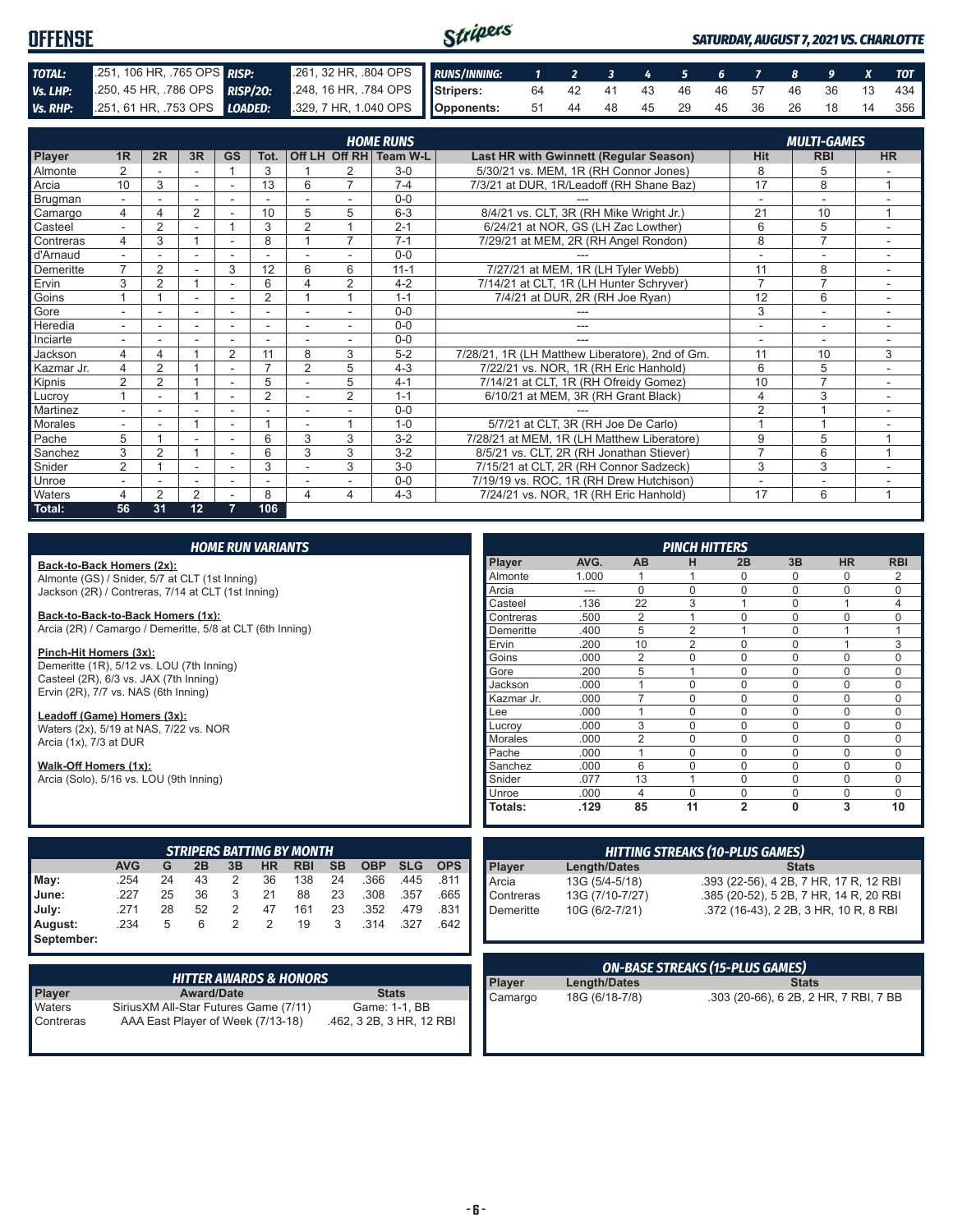| <b>OFFENSE</b> |                             |                                                                                          | Stripers |  |  |  |  |  | <b>SATURDAY, AUGUST 7, 2021 VS. CHARLOTTE</b> |
|----------------|-----------------------------|------------------------------------------------------------------------------------------|----------|--|--|--|--|--|-----------------------------------------------|
| TOTAL:         | 251, 106 HR, .765 OPS RISP: | 261, 32 HR, .804 OPS RUNS/INNING: 1 2 3 4 5 6 7 8 9 X TOT                                |          |  |  |  |  |  |                                               |
| Vs. LHP:       |                             | 250, 45 HR, 786 OPS RISP/20: 248, 16 HR, 784 OPS Stripers: 64 42 41 43 46 46 57 46 36 13 |          |  |  |  |  |  | 434                                           |
|                |                             | Vs. RHP: 251, 61 HR, 753 OPS LOADED: 329, 7 HR, 1.040 OPS Opponents:                     |          |  |  |  |  |  | 51 44 48 45 29 45 36 26 18 14 356             |

|            |                |                |                |                |                          |                |                | <b>HOME RUNS</b>       |                                                 |                | <b>MULTI-GAMES</b>       |                |
|------------|----------------|----------------|----------------|----------------|--------------------------|----------------|----------------|------------------------|-------------------------------------------------|----------------|--------------------------|----------------|
| Player     | 1R             | 2R             | 3R             | <b>GS</b>      | Tot.                     |                |                | Off LH Off RH Team W-L | <b>Last HR with Gwinnett (Regular Season)</b>   | <b>Hit</b>     | <b>RBI</b>               | <b>HR</b>      |
| Almonte    | $\overline{2}$ |                |                |                | 3                        |                | 2              | $3-0$                  | 5/30/21 vs. MEM, 1R (RH Connor Jones)           | 8              | 5                        |                |
| Arcia      | 10             | 3              |                |                | 13                       | 6              | $\overline{ }$ | $7 - 4$                | 7/3/21 at DUR, 1R/Leadoff (RH Shane Baz)        | 17             | 8                        |                |
| Brugman    | $\sim$         |                | ÷.             | ٠              |                          |                |                | $0 - 0$                |                                                 | $\overline{a}$ | $\sim$                   |                |
| Camargo    | 4              |                | 2              |                | 10                       | 5              | 5              | $6 - 3$                | 8/4/21 vs. CLT, 3R (RH Mike Wright Jr.)         | 21             | 10                       |                |
| Casteel    |                | $\overline{2}$ |                |                | 3                        | $\overline{2}$ |                | $2 - 1$                | 6/24/21 at NOR, GS (LH Zac Lowther)             | 6              | 5                        |                |
| Contreras  | 4              | 3              |                |                | 8                        |                | $\overline{7}$ | $7 - 1$                | 7/29/21 at MEM, 2R (RH Angel Rondon)            | 8              | $\overline{7}$           |                |
| d'Arnaud   |                |                |                |                |                          |                |                | $0 - 0$                |                                                 |                |                          |                |
| Demeritte  | $\overline{ }$ | $\overline{2}$ |                | 3              | 12                       | 6              | 6              | $11 - 1$               | 7/27/21 at MEM, 1R (LH Tyler Webb)              | 11             | 8                        |                |
| Ervin      | 3              | 2              |                | ٠              | 6                        | $\Delta$       | 2              | $4 - 2$                | 7/14/21 at CLT, 1R (LH Hunter Schryver)         | $\overline{7}$ | $\overline{7}$           |                |
| Goins      |                |                | ٠              |                | $\overline{2}$           |                |                | $1 - 1$                | 7/4/21 at DUR, 2R (RH Joe Ryan)                 | 12             | 6                        | $\sim$         |
| Gore       |                |                | ۰              | ۰              | -                        |                |                | $0 - 0$                |                                                 | 3              | $\overline{\phantom{a}}$ |                |
| Heredia    | $\sim$         |                | ٠              |                | ٠                        |                |                | $0 - 0$                | ---                                             | ٠              | ٠                        |                |
| Inciarte   |                |                |                |                |                          |                |                | $0 - 0$                |                                                 |                |                          |                |
| Jackson    | 4              |                |                | $\overline{2}$ | 11                       | 8              | 3              | $5 - 2$                | 7/28/21, 1R (LH Matthew Liberatore), 2nd of Gm. | 11             | 10                       | 3              |
| Kazmar Jr. | 4              | $\overline{2}$ |                | ٠              | $\overline{\phantom{a}}$ | $\overline{2}$ | 5              | $4 - 3$                | 7/22/21 vs. NOR, 1R (RH Eric Hanhold)           | 6              | 5                        |                |
| Kipnis     | $\overline{2}$ | 2              |                |                | 5                        |                | 5              | $4 - 1$                | 7/14/21 at CLT, 1R (RH Ofreidy Gomez)           | 10             | $\overline{7}$           | $\sim$         |
| Lucrov     |                |                |                | ۰              | $\overline{2}$           |                | $\overline{2}$ | $1 - 1$                | 6/10/21 at MEM, 3R (RH Grant Black)             | 4              | 3                        | ٠              |
| Martinez   |                |                |                |                |                          |                |                | $0 - 0$                |                                                 | $\overline{2}$ |                          |                |
| Morales    |                |                |                | ٠              |                          |                |                | $1 - 0$                | 5/7/21 at CLT, 3R (RH Joe De Carlo)             |                |                          |                |
| Pache      | 5              |                |                | ۰              | 6                        | 3              | 3              | $3-2$                  | 7/28/21 at MEM, 1R (LH Matthew Liberatore)      | 9              | 5                        |                |
| Sanchez    | 3              | $\overline{2}$ |                |                | 6                        | 3              | 3              | $3 - 2$                | 8/5/21 vs. CLT, 2R (RH Jonathan Stiever)        | $\overline{7}$ | 6                        | $\overline{A}$ |
| Snider     | $\overline{2}$ |                |                |                | 3                        |                | 3              | $3-0$                  | 7/15/21 at CLT, 2R (RH Connor Sadzeck)          | 3              | 3                        |                |
| Unroe      |                |                | ٠              |                |                          |                |                | $0 - 0$                | 7/19/19 vs. ROC, 1R (RH Drew Hutchison)         |                | ۰                        |                |
| Waters     | 4              | $\mathfrak{p}$ | $\overline{2}$ |                | 8                        | 4              | 4              | $4 - 3$                | 7/24/21 vs. NOR, 1R (RH Eric Hanhold)           | 17             | 6                        |                |
| Total:     | 56             | 31             | 12             | 7              | 106                      |                |                |                        |                                                 |                |                          |                |

|                                                           |                                                    |    |    |                | <b>HOME RUN VARIANTS</b> |                                  |           |            |            |            |            |                 | <b>PINCH HITTERS</b> |                                        |                                        |              |             |             |
|-----------------------------------------------------------|----------------------------------------------------|----|----|----------------|--------------------------|----------------------------------|-----------|------------|------------|------------|------------|-----------------|----------------------|----------------------------------------|----------------------------------------|--------------|-------------|-------------|
| Back-to-Back Homers (2x):                                 |                                                    |    |    |                |                          |                                  |           |            |            |            | Player     | AVG.            | <b>AB</b>            | н                                      | 2B                                     | 3B           | <b>HR</b>   | <b>RBI</b>  |
| Almonte (GS) / Snider, 5/7 at CLT (1st Inning)            |                                                    |    |    |                |                          |                                  |           |            | Almonte    | 1.000      |            |                 | N                    | $\mathbf 0$                            | 0                                      | 2            |             |             |
|                                                           | Jackson (2R) / Contreras, 7/14 at CLT (1st Inning) |    |    |                |                          |                                  |           |            | Arcia      | ---        | $\Omega$   | $\Omega$        | $\Omega$             | $\Omega$                               | $\Omega$                               | $\Omega$     |             |             |
|                                                           |                                                    |    |    |                |                          |                                  |           |            |            |            | Casteel    | .136            | 22                   | 3                                      |                                        | $\mathbf 0$  |             |             |
| Back-to-Back-to-Back Homers (1x):                         |                                                    |    |    |                |                          |                                  |           |            |            |            | Contreras  | .500            | 2                    |                                        | $\Omega$                               | $\Omega$     | $\Omega$    | $\Omega$    |
| Arcia (2R) / Camargo / Demeritte, 5/8 at CLT (6th Inning) |                                                    |    |    |                |                          |                                  |           |            |            |            | Demeritte  | .400            | 5                    | $\overline{2}$                         |                                        | $\mathbf 0$  |             |             |
|                                                           |                                                    |    |    |                |                          |                                  |           |            |            |            | Ervin      | .200            | 10                   | $\overline{2}$                         | $\Omega$                               | $\Omega$     | 1           | 3           |
| Pinch-Hit Homers (3x):                                    |                                                    |    |    |                |                          |                                  |           |            |            |            | Goins      | .000            | $\overline{2}$       | $\Omega$                               | $\Omega$                               | $\Omega$     | $\Omega$    | $\Omega$    |
| Demeritte (1R), 5/12 vs. LOU (7th Inning)                 |                                                    |    |    |                |                          |                                  |           |            |            |            | Gore       | .200            | 5                    |                                        | $\Omega$                               | $\mathbf 0$  | $\mathbf 0$ | $\Omega$    |
| Casteel (2R), 6/3 vs. JAX (7th Inning)                    |                                                    |    |    |                |                          |                                  |           |            |            |            | Jackson    | .000            |                      | $\Omega$                               | $\Omega$                               | $\Omega$     | $\Omega$    | $\Omega$    |
| Ervin (2R), 7/7 vs. NAS (6th Inning)                      |                                                    |    |    |                |                          |                                  |           |            |            |            | Kazmar Jr. | .000            | $\overline{7}$       | $\Omega$                               | $\Omega$                               | $\mathbf 0$  | $\mathbf 0$ | $\mathbf 0$ |
| Leadoff (Game) Homers (3x):                               |                                                    |    |    |                |                          |                                  |           |            |            |            | Lee        | .000            |                      | $\Omega$                               | $\Omega$                               | $\Omega$     | $\Omega$    | $\Omega$    |
| Waters (2x), 5/19 at NAS, 7/22 vs. NOR                    |                                                    |    |    |                |                          |                                  |           |            |            |            | Lucrov     | .000            | 3                    | $\Omega$                               | $\Omega$                               | $\Omega$     | $\Omega$    | $\Omega$    |
| Arcia (1x), 7/3 at DUR                                    |                                                    |    |    |                |                          |                                  |           |            |            |            | Morales    | .000            | $\overline{2}$       | $\Omega$                               | $\mathbf 0$                            | $\mathbf 0$  | 0           | $\Omega$    |
|                                                           |                                                    |    |    |                |                          |                                  |           |            |            |            | Pache      | .000            |                      | $\Omega$                               | $\mathbf{0}$                           | $\Omega$     | $\Omega$    | $\Omega$    |
| Walk-Off Homers (1x):                                     |                                                    |    |    |                |                          |                                  |           |            |            |            | Sanchez    | .000            | 6                    | $\Omega$                               | $\Omega$                               | $\mathbf 0$  | $\Omega$    | $\Omega$    |
| Arcia (Solo), 5/16 vs. LOU (9th Inning)                   |                                                    |    |    |                |                          |                                  |           |            |            |            | Snider     | .077            | 13                   |                                        | $\Omega$                               | $\Omega$     | $\Omega$    | $\Omega$    |
|                                                           |                                                    |    |    |                |                          |                                  |           |            |            |            | Unroe      | .000            | $\overline{4}$       | $\Omega$                               | 0                                      | $\mathbf 0$  | $\Omega$    | $\Omega$    |
|                                                           |                                                    |    |    |                |                          |                                  |           |            |            |            | Totals:    | .129            | 85                   | 11                                     | $\overline{2}$                         | $\mathbf{0}$ | 3           | 10          |
|                                                           |                                                    |    |    |                |                          |                                  |           |            |            |            |            |                 |                      |                                        |                                        |              |             |             |
|                                                           |                                                    |    |    |                |                          | <b>STRIPERS BATTING BY MONTH</b> |           |            |            |            |            |                 |                      | <b>HITTING STREAKS (10-PLUS GAMES)</b> |                                        |              |             |             |
|                                                           | <b>AVG</b>                                         | G  | 2B | 3B             | <b>HR</b>                | <b>RBI</b>                       | <b>SB</b> | <b>OBP</b> | <b>SLG</b> | <b>OPS</b> | Player     | Length/Dates    |                      |                                        |                                        | <b>Stats</b> |             |             |
| May:                                                      | .254                                               | 24 | 43 | 2              | 36                       | 138                              | 24        | .366       | .445       | .811       | Arcia      | 13G (5/4-5/18)  |                      |                                        | .393 (22-56), 4 2B, 7 HR, 17 R, 12 RBI |              |             |             |
| June:                                                     | .227                                               | 25 | 36 | 3              | 21                       | 88                               | 23        | .308       | .357       | .665       | Contreras  | 13G (7/10-7/27) |                      |                                        | .385 (20-52), 5 2B, 7 HR, 14 R, 20 RBI |              |             |             |
| July:                                                     | .271                                               | 28 | 52 | $\overline{2}$ | 47                       | 161                              | 23        | .352       | .479       | .831       | Demeritte  | 10G (6/2-7/21)  |                      |                                        | .372 (16-43), 2 2B, 3 HR, 10 R, 8 RBI  |              |             |             |
| August:                                                   | .234                                               | 5  | 6  | $\overline{2}$ | 2                        | 19                               | 3         | .314       | .327       | .642       |            |                 |                      |                                        |                                        |              |             |             |
| September:                                                |                                                    |    |    |                |                          |                                  |           |            |            |            |            |                 |                      |                                        |                                        |              |             |             |

|                     | <b>HITTER AWARDS &amp; HONORS</b>                                           |                                           |
|---------------------|-----------------------------------------------------------------------------|-------------------------------------------|
| <b>Player</b>       | <b>Award/Date</b>                                                           | <b>Stats</b>                              |
| Waters<br>Contreras | Sirius XM All-Star Futures Game (7/11)<br>AAA East Player of Week (7/13-18) | Game: 1-1, BB<br>.462, 3 2B, 3 HR, 12 RBI |

|         |                | <b>ON-BASE STREAKS (15-PLUS GAMES)</b> |
|---------|----------------|----------------------------------------|
| Player  | Length/Dates   | <b>Stats</b>                           |
| Camargo | 18G (6/18-7/8) | .303 (20-66), 6 2B, 2 HR, 7 RBI, 7 BB  |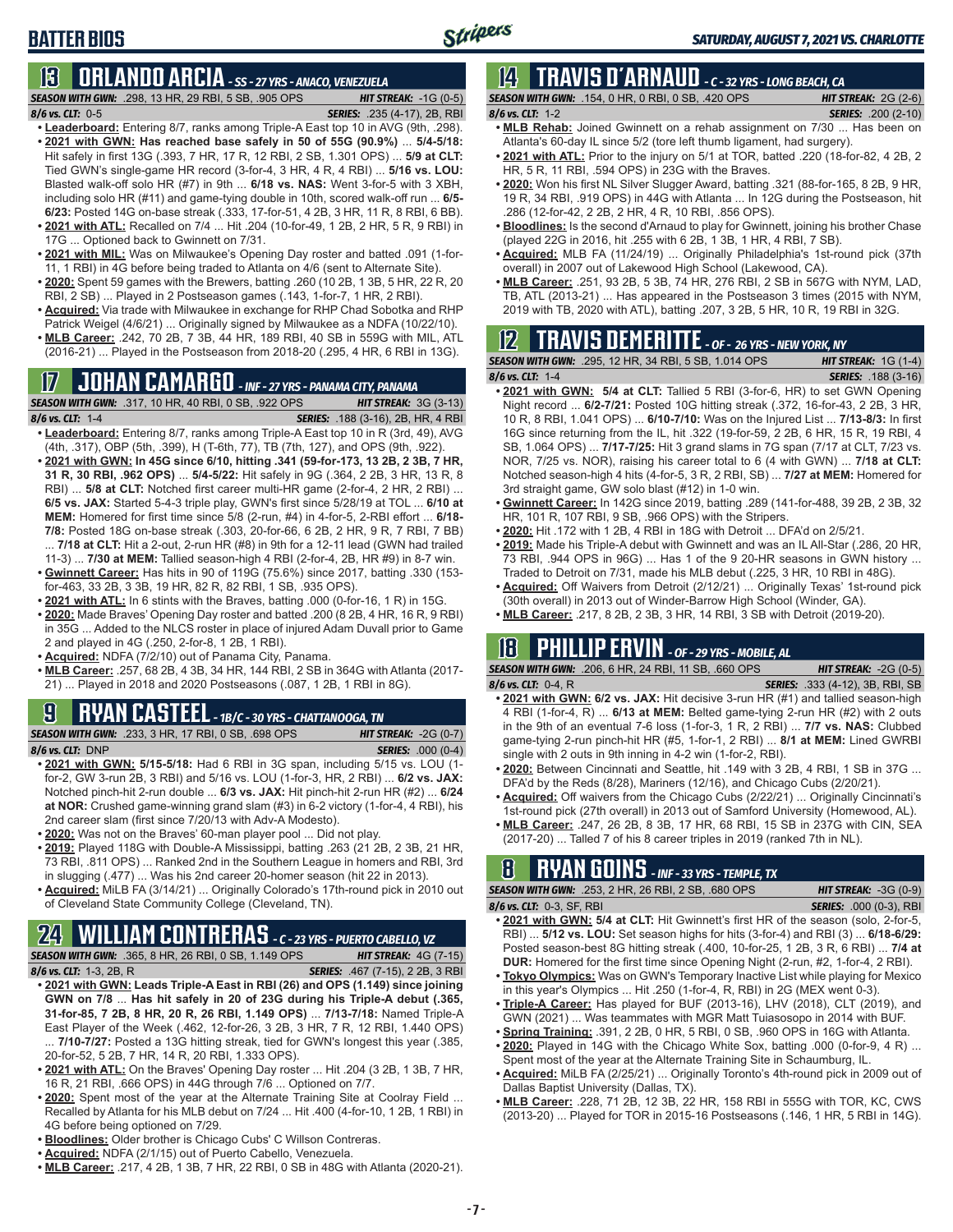## **BATTER BIOS**

## **13 ORLANDO ARCIA** *- SS - 27 YRS - ANACO, VENEZUELA*

*SEASON WITH GWN:*.298, 13 HR, 29 RBI, 5 SB, .905 OPS *HIT STREAK:* -1G (0-5) *8/6 vs. CLT:*0-5 *SERIES:* .235 (4-17), 2B, RBI

- **• Leaderboard:** Entering 8/7, ranks among Triple-A East top 10 in AVG (9th, .298). **• 2021 with GWN: Has reached base safely in 50 of 55G (90.9%)** ... **5/4-5/18:**  Hit safely in first 13G (.393, 7 HR, 17 R, 12 RBI, 2 SB, 1.301 OPS) ... **5/9 at CLT:** Tied GWN's single-game HR record (3-for-4, 3 HR, 4 R, 4 RBI) ... **5/16 vs. LOU:** Blasted walk-off solo HR (#7) in 9th ... **6/18 vs. NAS:** Went 3-for-5 with 3 XBH, including solo HR (#11) and game-tying double in 10th, scored walk-off run ... **6/5- 6/23:** Posted 14G on-base streak (.333, 17-for-51, 4 2B, 3 HR, 11 R, 8 RBI, 6 BB).
- **• 2021 with ATL:** Recalled on 7/4 ... Hit .204 (10-for-49, 1 2B, 2 HR, 5 R, 9 RBI) in 17G ... Optioned back to Gwinnett on 7/31.
- **• 2021 with MIL:** Was on Milwaukee's Opening Day roster and batted .091 (1-for-11, 1 RBI) in 4G before being traded to Atlanta on 4/6 (sent to Alternate Site).
- **• 2020:** Spent 59 games with the Brewers, batting .260 (10 2B, 1 3B, 5 HR, 22 R, 20 RBI, 2 SB) ... Played in 2 Postseason games (.143, 1-for-7, 1 HR, 2 RBI).
- **• Acquired:** Via trade with Milwaukee in exchange for RHP Chad Sobotka and RHP Patrick Weigel (4/6/21) ... Originally signed by Milwaukee as a NDFA (10/22/10).
- **• MLB Career:** .242, 70 2B, 7 3B, 44 HR, 189 RBI, 40 SB in 559G with MIL, ATL (2016-21) ... Played in the Postseason from 2018-20 (.295, 4 HR, 6 RBI in 13G).

## **17 JOHAN CAMARGO** *- INF - 27 YRS - PANAMA CITY, PANAMA*

*SEASON WITH GWN:*.317, 10 HR, 40 RBI, 0 SB, .922 OPS *HIT STREAK:* 3G (3-13) *8/6 vs. CLT:* 1-4 *SERIES:* .188 (3-16), 2B, HR, 4 RBI

- **• Leaderboard:** Entering 8/7, ranks among Triple-A East top 10 in R (3rd, 49), AVG (4th, .317), OBP (5th, .399), H (T-6th, 77), TB (7th, 127), and OPS (9th, .922).
- **• 2021 with GWN: In 45G since 6/10, hitting .341 (59-for-173, 13 2B, 2 3B, 7 HR, 31 R, 30 RBI, .962 OPS)** ... **5/4-5/22:** Hit safely in 9G (.364, 2 2B, 3 HR, 13 R, 8 RBI) ... **5/8 at CLT:** Notched first career multi-HR game (2-for-4, 2 HR, 2 RBI) ... **6/5 vs. JAX:** Started 5-4-3 triple play, GWN's first since 5/28/19 at TOL ... **6/10 at MEM:** Homered for first time since 5/8 (2-run, #4) in 4-for-5, 2-RBI effort ... **6/18- 7/8:** Posted 18G on-base streak (.303, 20-for-66, 6 2B, 2 HR, 9 R, 7 RBI, 7 BB) ... **7/18 at CLT:** Hit a 2-out, 2-run HR (#8) in 9th for a 12-11 lead (GWN had trailed
- 11-3) ... **7/30 at MEM:** Tallied season-high 4 RBI (2-for-4, 2B, HR #9) in 8-7 win. **• Gwinnett Career:** Has hits in 90 of 119G (75.6%) since 2017, batting .330 (153 for-463, 33 2B, 3 3B, 19 HR, 82 R, 82 RBI, 1 SB, .935 OPS).
- **• 2021 with ATL:** In 6 stints with the Braves, batting .000 (0-for-16, 1 R) in 15G.
- **• 2020:** Made Braves' Opening Day roster and batted .200 (8 2B, 4 HR, 16 R, 9 RBI) in 35G ... Added to the NLCS roster in place of injured Adam Duvall prior to Game 2 and played in 4G (.250, 2-for-8, 1 2B, 1 RBI).
- **• Acquired:** NDFA (7/2/10) out of Panama City, Panama.
- **• MLB Career:** .257, 68 2B, 4 3B, 34 HR, 144 RBI, 2 SB in 364G with Atlanta (2017- 21) ... Played in 2018 and 2020 Postseasons (.087, 1 2B, 1 RBI in 8G).

## **9 RYAN CASTEEL** *- 1B/C - 30 YRS - CHATTANOOGA, TN*

*SEASON WITH GWN:*.233, 3 HR, 17 RBI, 0 SB, .698 OPS *HIT STREAK:* -2G (0-7) *8/6 vs. CLT:*DNP *SERIES:* .000 (0-4)

- **• 2021 with GWN: 5/15-5/18:** Had 6 RBI in 3G span, including 5/15 vs. LOU (1 for-2, GW 3-run 2B, 3 RBI) and 5/16 vs. LOU (1-for-3, HR, 2 RBI) ... **6/2 vs. JAX:** Notched pinch-hit 2-run double ... **6/3 vs. JAX:** Hit pinch-hit 2-run HR (#2) ... **6/24 at NOR:** Crushed game-winning grand slam (#3) in 6-2 victory (1-for-4, 4 RBI), his 2nd career slam (first since 7/20/13 with Adv-A Modesto).
- **• 2020:** Was not on the Braves' 60-man player pool ... Did not play.
- **• 2019:** Played 118G with Double-A Mississippi, batting .263 (21 2B, 2 3B, 21 HR, 73 RBI, .811 OPS) ... Ranked 2nd in the Southern League in homers and RBI, 3rd in slugging (.477) ... Was his 2nd career 20-homer season (hit 22 in 2013).
- **• Acquired:** MiLB FA (3/14/21) ... Originally Colorado's 17th-round pick in 2010 out of Cleveland State Community College (Cleveland, TN).

# **24 WILLIAM CONTRERAS** *- C - 23 YRS - PUERTO CABELLO, VZ*

*SEASON WITH GWN:*.365, 8 HR, 26 RBI, 0 SB, 1.149 OPS *HIT STREAK:* 4G (7-15)

- *8/6 vs. CLT:* 1-3, 2B, R *SERIES:* .467 (7-15), 2 2B, 3 RBI **• 2021 with GWN: Leads Triple-A East in RBI (26) and OPS (1.149) since joining GWN on 7/8** ... **Has hit safely in 20 of 23G during his Triple-A debut (.365, 31-for-85, 7 2B, 8 HR, 20 R, 26 RBI, 1.149 OPS)** ... **7/13-7/18:** Named Triple-A East Player of the Week (.462, 12-for-26, 3 2B, 3 HR, 7 R, 12 RBI, 1.440 OPS) 7/10-7/27: Posted a 13G hitting streak, tied for GWN's longest this year (.385, 20-for-52, 5 2B, 7 HR, 14 R, 20 RBI, 1.333 OPS).
- **• 2021 with ATL:** On the Braves' Opening Day roster ... Hit .204 (3 2B, 1 3B, 7 HR, 16 R, 21 RBI, .666 OPS) in 44G through 7/6 ... Optioned on 7/7.
- **• 2020:** Spent most of the year at the Alternate Training Site at Coolray Field ... Recalled by Atlanta for his MLB debut on 7/24 ... Hit .400 (4-for-10, 1 2B, 1 RBI) in 4G before being optioned on 7/29.
- **• Bloodlines:** Older brother is Chicago Cubs' C Willson Contreras.
- **• Acquired:** NDFA (2/1/15) out of Puerto Cabello, Venezuela.
- **MLB Career:** .217, 4 2B, 1 3B, 7 HR, 22 RBI, 0 SB in 48G with Atlanta (2020-21).

# **14 TRAVIS d'ARNAUD** *- C - 32 YRS - LONG BEACH, CA*

*SEASON WITH GWN:*.154, 0 HR, 0 RBI, 0 SB, .420 OPS *HIT STREAK:* 2G (2-6) *8/6 vs. CLT:*1-2 *SERIES:* .200 (2-10) **• MLB Rehab:** Joined Gwinnett on a rehab assignment on 7/30 ... Has been on

- Atlanta's 60-day IL since 5/2 (tore left thumb ligament, had surgery).
- **• 2021 with ATL:** Prior to the injury on 5/1 at TOR, batted .220 (18-for-82, 4 2B, 2 HR, 5 R, 11 RBI, .594 OPS) in 23G with the Braves.
- **• 2020:** Won his first NL Silver Slugger Award, batting .321 (88-for-165, 8 2B, 9 HR, 19 R, 34 RBI, .919 OPS) in 44G with Atlanta ... In 12G during the Postseason, hit .286 (12-for-42, 2 2B, 2 HR, 4 R, 10 RBI, .856 OPS).
- **• Bloodlines:** Is the second d'Arnaud to play for Gwinnett, joining his brother Chase (played 22G in 2016, hit .255 with 6 2B, 1 3B, 1 HR, 4 RBI, 7 SB).
- **• Acquired:** MLB FA (11/24/19) ... Originally Philadelphia's 1st-round pick (37th overall) in 2007 out of Lakewood High School (Lakewood, CA).
- **• MLB Career:** .251, 93 2B, 5 3B, 74 HR, 276 RBI, 2 SB in 567G with NYM, LAD, TB, ATL (2013-21) ... Has appeared in the Postseason 3 times (2015 with NYM, 2019 with TB, 2020 with ATL), batting .207, 3 2B, 5 HR, 10 R, 19 RBI in 32G.

# **12 TRAVIS DEMERITTE** *- OF - 26 YRS - NEW YORK, NY*

*SEASON WITH GWN:*.295, 12 HR, 34 RBI, 5 SB, 1.014 OPS *HIT STREAK:* 1G (1-4) *8/6 vs. CLT:*1-4 *SERIES:* .188 (3-16)

- **• 2021 with GWN: 5/4 at CLT:** Tallied 5 RBI (3-for-6, HR) to set GWN Opening Night record ... **6/2-7/21:** Posted 10G hitting streak (.372, 16-for-43, 2 2B, 3 HR, 10 R, 8 RBI, 1.041 OPS) ... **6/10-7/10:** Was on the Injured List ... **7/13-8/3:** In first 16G since returning from the IL, hit .322 (19-for-59, 2 2B, 6 HR, 15 R, 19 RBI, 4 SB, 1.064 OPS) ... **7/17-7/25:** Hit 3 grand slams in 7G span (7/17 at CLT, 7/23 vs. NOR, 7/25 vs. NOR), raising his career total to 6 (4 with GWN) ... **7/18 at CLT:** Notched season-high 4 hits (4-for-5, 3 R, 2 RBI, SB) ... **7/27 at MEM:** Homered for 3rd straight game, GW solo blast (#12) in 1-0 win.
- **• Gwinnett Career:** In 142G since 2019, batting .289 (141-for-488, 39 2B, 2 3B, 32 HR, 101 R, 107 RBI, 9 SB, .966 OPS) with the Stripers.
- **• 2020:** Hit .172 with 1 2B, 4 RBI in 18G with Detroit ... DFA'd on 2/5/21.
- **• 2019:** Made his Triple-A debut with Gwinnett and was an IL All-Star (.286, 20 HR, 73 RBI, .944 OPS in 96G) ... Has 1 of the 9 20-HR seasons in GWN history ... Traded to Detroit on 7/31, made his MLB debut (.225, 3 HR, 10 RBI in 48G).
- **• Acquired:** Off Waivers from Detroit (2/12/21) ... Originally Texas' 1st-round pick (30th overall) in 2013 out of Winder-Barrow High School (Winder, GA).
- **• MLB Career:** .217, 8 2B, 2 3B, 3 HR, 14 RBI, 3 SB with Detroit (2019-20).

## **18 PHILLIP ERVIN** *- OF - 29 YRS - MOBILE, AL*

*SEASON WITH GWN:*.206, 6 HR, 24 RBI, 11 SB, .660 OPS *HIT STREAK:* -2G (0-5)

- *8/6 vs. CLT:*0-4, R *SERIES:* .333 (4-12), 3B, RBI, SB **• 2021 with GWN: 6/2 vs. JAX:** Hit decisive 3-run HR (#1) and tallied season-high 4 RBI (1-for-4, R) ... **6/13 at MEM:** Belted game-tying 2-run HR (#2) with 2 outs in the 9th of an eventual 7-6 loss (1-for-3, 1 R, 2 RBI) ... **7/7 vs. NAS:** Clubbed game-tying 2-run pinch-hit HR (#5, 1-for-1, 2 RBI) ... **8/1 at MEM:** Lined GWRBI single with 2 outs in 9th inning in 4-2 win (1-for-2, RBI).
- **• 2020:** Between Cincinnati and Seattle, hit .149 with 3 2B, 4 RBI, 1 SB in 37G ... DFA'd by the Reds (8/28), Mariners (12/16), and Chicago Cubs (2/20/21).
- **• Acquired:** Off waivers from the Chicago Cubs (2/22/21) ... Originally Cincinnati's 1st-round pick (27th overall) in 2013 out of Samford University (Homewood, AL).
- **• MLB Career:** .247, 26 2B, 8 3B, 17 HR, 68 RBI, 15 SB in 237G with CIN, SEA (2017-20) ... Talled 7 of his 8 career triples in 2019 (ranked 7th in NL).

## **8 RYAN GOINS** *- INF - 33 YRS - TEMPLE, TX*

*SEASON WITH GWN:*.253, 2 HR, 26 RBI, 2 SB, .680 OPS *HIT STREAK:* -3G (0-9)

*8/6 vs. CLT:*0-3, SF, RBI *SERIES:* .000 (0-3), RBI **• 2021 with GWN: 5/4 at CLT:** Hit Gwinnett's first HR of the season (solo, 2-for-5, RBI) ... **5/12 vs. LOU:** Set season highs for hits (3-for-4) and RBI (3) ... **6/18-6/29:** Posted season-best 8G hitting streak (.400, 10-for-25, 1 2B, 3 R, 6 RBI) ... **7/4 at** 

- **DUR:** Homered for the first time since Opening Night (2-run, #2, 1-for-4, 2 RBI). **• Tokyo Olympics:** Was on GWN's Temporary Inactive List while playing for Mexico in this year's Olympics ... Hit .250 (1-for-4, R, RBI) in 2G (MEX went 0-3).
- **• Triple-A Career:** Has played for BUF (2013-16), LHV (2018), CLT (2019), and GWN (2021) ... Was teammates with MGR Matt Tuiasosopo in 2014 with BUF.
- **• Spring Training:** .391, 2 2B, 0 HR, 5 RBI, 0 SB, .960 OPS in 16G with Atlanta.
- **• 2020:** Played in 14G with the Chicago White Sox, batting .000 (0-for-9, 4 R) ... Spent most of the year at the Alternate Training Site in Schaumburg, IL.
- **• Acquired:** MiLB FA (2/25/21) ... Originally Toronto's 4th-round pick in 2009 out of Dallas Baptist University (Dallas, TX).
- **• MLB Career:** .228, 71 2B, 12 3B, 22 HR, 158 RBI in 555G with TOR, KC, CWS (2013-20) ... Played for TOR in 2015-16 Postseasons (.146, 1 HR, 5 RBI in 14G).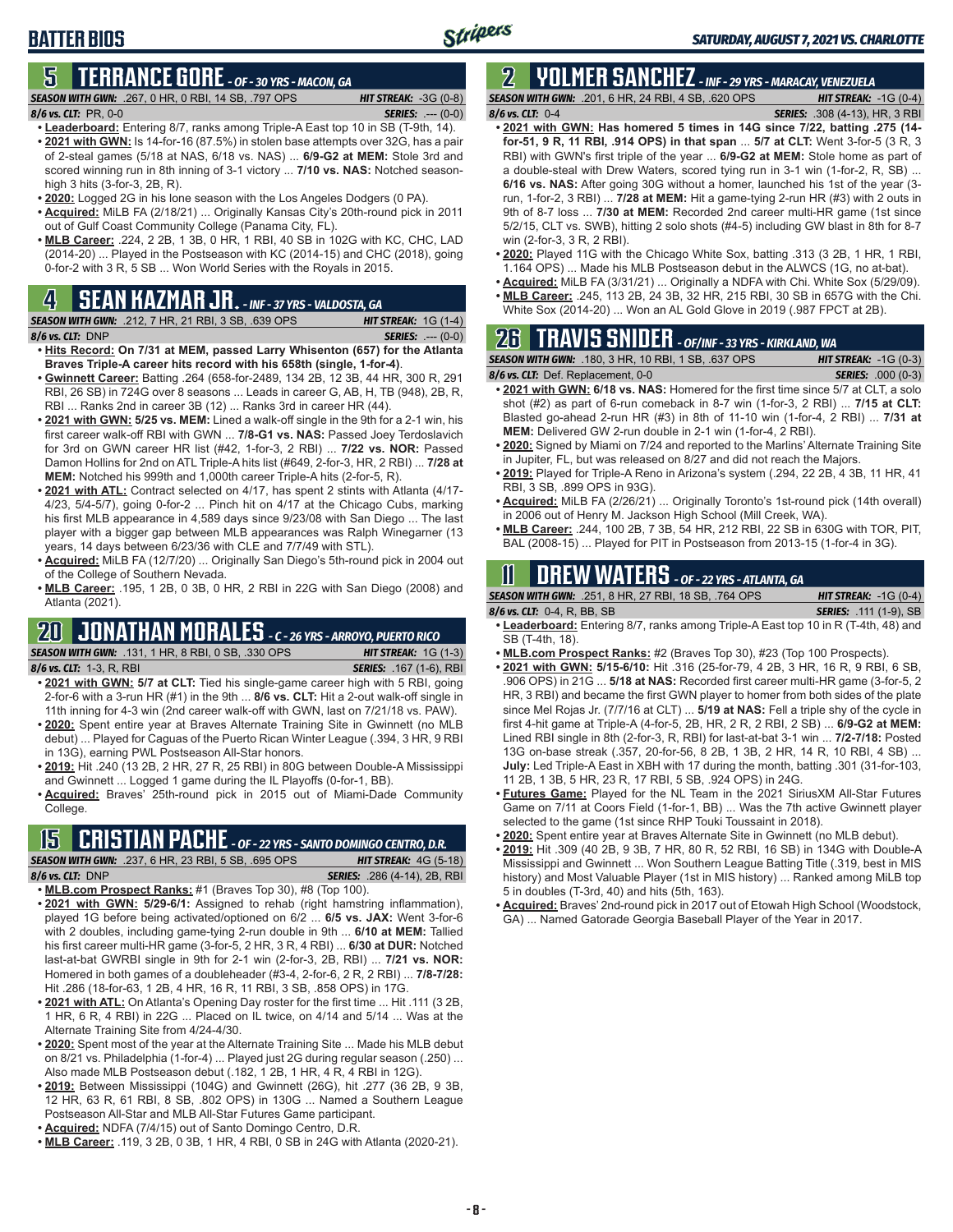# **5 TERRANCE GORE** *- OF - 30 YRS - MACON, GA*

*SEASON WITH GWN:*.267, 0 HR, 0 RBI, 14 SB, .797 OPS *HIT STREAK:* -3G (0-8) *8/6 vs. CLT:*PR, 0-0 *SERIES:* .--- (0-0)

- **• Leaderboard:** Entering 8/7, ranks among Triple-A East top 10 in SB (T-9th, 14). **• 2021 with GWN:** Is 14-for-16 (87.5%) in stolen base attempts over 32G, has a pair of 2-steal games (5/18 at NAS, 6/18 vs. NAS) ... **6/9-G2 at MEM:** Stole 3rd and scored winning run in 8th inning of 3-1 victory ... **7/10 vs. NAS:** Notched seasonhigh 3 hits (3-for-3, 2B, R).
- **• 2020:** Logged 2G in his lone season with the Los Angeles Dodgers (0 PA).
- **• Acquired:** MiLB FA (2/18/21) ... Originally Kansas City's 20th-round pick in 2011 out of Gulf Coast Community College (Panama City, FL).
- **• MLB Career:** .224, 2 2B, 1 3B, 0 HR, 1 RBI, 40 SB in 102G with KC, CHC, LAD (2014-20) ... Played in the Postseason with KC (2014-15) and CHC (2018), going 0-for-2 with 3 R, 5 SB ... Won World Series with the Royals in 2015.

## **4 SEAN KAZMAR JR.** *- INF - 37 YRS - VALDOSTA, GA*

*SEASON WITH GWN:*.212, 7 HR, 21 RBI, 3 SB, .639 OPS *HIT STREAK:* 1G (1-4) *8/6 vs. CLT:*DNP *SERIES:* .--- (0-0)

- **• Hits Record: On 7/31 at MEM, passed Larry Whisenton (657) for the Atlanta Braves Triple-A career hits record with his 658th (single, 1-for-4)**.
- **• Gwinnett Career:** Batting .264 (658-for-2489, 134 2B, 12 3B, 44 HR, 300 R, 291 RBI, 26 SB) in 724G over 8 seasons ... Leads in career G, AB, H, TB (948), 2B, R, RBI ... Ranks 2nd in career 3B (12) ... Ranks 3rd in career HR (44).
- **• 2021 with GWN: 5/25 vs. MEM:** Lined a walk-off single in the 9th for a 2-1 win, his first career walk-off RBI with GWN ... **7/8-G1 vs. NAS:** Passed Joey Terdoslavich for 3rd on GWN career HR list (#42, 1-for-3, 2 RBI) ... **7/22 vs. NOR:** Passed Damon Hollins for 2nd on ATL Triple-A hits list (#649, 2-for-3, HR, 2 RBI) ... **7/28 at MEM:** Notched his 999th and 1,000th career Triple-A hits (2-for-5, R).
- **• 2021 with ATL:** Contract selected on 4/17, has spent 2 stints with Atlanta (4/17- 4/23, 5/4-5/7), going 0-for-2 ... Pinch hit on 4/17 at the Chicago Cubs, marking his first MLB appearance in 4,589 days since 9/23/08 with San Diego ... The last player with a bigger gap between MLB appearances was Ralph Winegarner (13 years, 14 days between 6/23/36 with CLE and 7/7/49 with STL).
- **• Acquired:** MiLB FA (12/7/20) ... Originally San Diego's 5th-round pick in 2004 out of the College of Southern Nevada.
- **• MLB Career:** .195, 1 2B, 0 3B, 0 HR, 2 RBI in 22G with San Diego (2008) and Atlanta (2021).

## **20 JONATHAN MORALES** *- C - 26 YRS - ARROYO, PUERTO RICO*

*SEASON WITH GWN:*.131, 1 HR, 8 RBI, 0 SB, .330 OPS *HIT STREAK:* 1G (1-3) *8/6 vs. CLT:*1-3, R, RBI *SERIES:* .167 (1-6), RBI

- **• 2021 with GWN: 5/7 at CLT:** Tied his single-game career high with 5 RBI, going 2-for-6 with a 3-run HR (#1) in the 9th ... **8/6 vs. CLT:** Hit a 2-out walk-off single in 11th inning for 4-3 win (2nd career walk-off with GWN, last on 7/21/18 vs. PAW).
- **• 2020:** Spent entire year at Braves Alternate Training Site in Gwinnett (no MLB debut) ... Played for Caguas of the Puerto Rican Winter League (.394, 3 HR, 9 RBI in 13G), earning PWL Postseason All-Star honors.
- **• 2019:** Hit .240 (13 2B, 2 HR, 27 R, 25 RBI) in 80G between Double-A Mississippi and Gwinnett ... Logged 1 game during the IL Playoffs (0-for-1, BB).
- **• Acquired:** Braves' 25th-round pick in 2015 out of Miami-Dade Community College.

# **15 CRISTIAN PACHE** *- OF - 22 YRS - SANTO DOMINGO CENTRO, D.R.*

*SEASON WITH GWN:*.237, 6 HR, 23 RBI, 5 SB, .695 OPS *HIT STREAK:* 4G (5-18) *8/6 vs. CLT:* DNP *SERIES:* .286 (4-14), 2B, RBI

- **• MLB.com Prospect Ranks:** #1 (Braves Top 30), #8 (Top 100). **• 2021 with GWN: 5/29-6/1:** Assigned to rehab (right hamstring inflammation), played 1G before being activated/optioned on 6/2 ... **6/5 vs. JAX:** Went 3-for-6
- with 2 doubles, including game-tying 2-run double in 9th ... **6/10 at MEM:** Tallied his first career multi-HR game (3-for-5, 2 HR, 3 R, 4 RBI) ... **6/30 at DUR:** Notched last-at-bat GWRBI single in 9th for 2-1 win (2-for-3, 2B, RBI) ... **7/21 vs. NOR:** Homered in both games of a doubleheader (#3-4, 2-for-6, 2 R, 2 RBI) ... **7/8-7/28:** Hit .286 (18-for-63, 1 2B, 4 HR, 16 R, 11 RBI, 3 SB, .858 OPS) in 17G.
- **• 2021 with ATL:** On Atlanta's Opening Day roster for the first time ... Hit .111 (3 2B, 1 HR, 6 R, 4 RBI) in 22G ... Placed on IL twice, on 4/14 and 5/14 ... Was at the Alternate Training Site from 4/24-4/30.
- **• 2020:** Spent most of the year at the Alternate Training Site ... Made his MLB debut on 8/21 vs. Philadelphia (1-for-4) ... Played just 2G during regular season (.250) ... Also made MLB Postseason debut (.182, 1 2B, 1 HR, 4 R, 4 RBI in 12G).
- **• 2019:** Between Mississippi (104G) and Gwinnett (26G), hit .277 (36 2B, 9 3B, 12 HR, 63 R, 61 RBI, 8 SB, .802 OPS) in 130G ... Named a Southern League Postseason All-Star and MLB All-Star Futures Game participant.
- **• Acquired:** NDFA (7/4/15) out of Santo Domingo Centro, D.R.
- **• MLB Career:** .119, 3 2B, 0 3B, 1 HR, 4 RBI, 0 SB in 24G with Atlanta (2020-21).

# **2 YOLMER SANCHEZ** *- INF - 29 YRS - MARACAY, VENEZUELA*

Stripers

*SEASON WITH GWN:*.201, 6 HR, 24 RBI, 4 SB, .620 OPS *HIT STREAK:* -1G (0-4) *8/6 vs. CLT:*0-4 *SERIES:* .308 (4-13), HR, 3 RBI

- **• 2021 with GWN: Has homered 5 times in 14G since 7/22, batting .275 (14 for-51, 9 R, 11 RBI, .914 OPS) in that span** ... **5/7 at CLT:** Went 3-for-5 (3 R, 3 RBI) with GWN's first triple of the year ... **6/9-G2 at MEM:** Stole home as part of a double-steal with Drew Waters, scored tying run in 3-1 win (1-for-2, R, SB) ... **6/16 vs. NAS:** After going 30G without a homer, launched his 1st of the year (3 run, 1-for-2, 3 RBI) ... **7/28 at MEM:** Hit a game-tying 2-run HR (#3) with 2 outs in 9th of 8-7 loss ... **7/30 at MEM:** Recorded 2nd career multi-HR game (1st since 5/2/15, CLT vs. SWB), hitting 2 solo shots (#4-5) including GW blast in 8th for 8-7 win (2-for-3, 3 R, 2 RBI).
- **• 2020:** Played 11G with the Chicago White Sox, batting .313 (3 2B, 1 HR, 1 RBI, 1.164 OPS) ... Made his MLB Postseason debut in the ALWCS (1G, no at-bat).
- **• Acquired:** MiLB FA (3/31/21) ... Originally a NDFA with Chi. White Sox (5/29/09).
- **• MLB Career:** .245, 113 2B, 24 3B, 32 HR, 215 RBI, 30 SB in 657G with the Chi.
- White Sox (2014-20) ... Won an AL Gold Glove in 2019 (.987 FPCT at 2B).

## **26 TRAVIS SNIDER** *- OF/INF - 33 YRS - KIRKLAND, WA*

| <b>SEASON WITH GWN: .180, 3 HR, 10 RBI, 1 SB, .637 OPS</b> | <b>HIT STREAK: -1G (0-3)</b> |
|------------------------------------------------------------|------------------------------|
| 8/6 vs. CLT: Def. Replacement, 0-0                         | <b>SERIES: .000 (0-3)</b>    |
|                                                            |                              |

- **• 2021 with GWN: 6/18 vs. NAS:** Homered for the first time since 5/7 at CLT, a solo shot (#2) as part of 6-run comeback in 8-7 win (1-for-3, 2 RBI) ... **7/15 at CLT:** Blasted go-ahead 2-run HR (#3) in 8th of 11-10 win (1-for-4, 2 RBI) ... **7/31 at MEM:** Delivered GW 2-run double in 2-1 win (1-for-4, 2 RBI).
- **• 2020:** Signed by Miami on 7/24 and reported to the Marlins' Alternate Training Site in Jupiter, FL, but was released on 8/27 and did not reach the Majors.
- **• 2019:** Played for Triple-A Reno in Arizona's system (.294, 22 2B, 4 3B, 11 HR, 41 RBI, 3 SB, .899 OPS in 93G).
- **• Acquired:** MiLB FA (2/26/21) ... Originally Toronto's 1st-round pick (14th overall) in 2006 out of Henry M. Jackson High School (Mill Creek, WA).
- **• MLB Career:** .244, 100 2B, 7 3B, 54 HR, 212 RBI, 22 SB in 630G with TOR, PIT, BAL (2008-15) ... Played for PIT in Postseason from 2013-15 (1-for-4 in 3G).

## **11 Drew WATERS** *- OF - 22 YRS - ATLANTA, GA*

| <b>SEASON WITH GWN: .251, 8 HR, 27 RBI, 18 SB, .764 OPS</b> | <b>HIT STREAK:</b> $-1G(0-4)$ |
|-------------------------------------------------------------|-------------------------------|
| 8/6 vs. CLT: $0-4$ , R, BB, SB                              | <b>SERIES:</b> .111 (1-9), SB |
| .                                                           |                               |

- **• Leaderboard:** Entering 8/7, ranks among Triple-A East top 10 in R (T-4th, 48) and SB (T-4th, 18).
- **• MLB.com Prospect Ranks:** #2 (Braves Top 30), #23 (Top 100 Prospects).
- **• 2021 with GWN: 5/15-6/10:** Hit .316 (25-for-79, 4 2B, 3 HR, 16 R, 9 RBI, 6 SB, .906 OPS) in 21G ... **5/18 at NAS:** Recorded first career multi-HR game (3-for-5, 2 HR, 3 RBI) and became the first GWN player to homer from both sides of the plate since Mel Rojas Jr. (7/7/16 at CLT) ... **5/19 at NAS:** Fell a triple shy of the cycle in first 4-hit game at Triple-A (4-for-5, 2B, HR, 2 R, 2 RBI, 2 SB) ... **6/9-G2 at MEM:** Lined RBI single in 8th (2-for-3, R, RBI) for last-at-bat 3-1 win ... **7/2-7/18:** Posted 13G on-base streak (.357, 20-for-56, 8 2B, 1 3B, 2 HR, 14 R, 10 RBI, 4 SB) ... **July:** Led Triple-A East in XBH with 17 during the month, batting .301 (31-for-103, 11 2B, 1 3B, 5 HR, 23 R, 17 RBI, 5 SB, .924 OPS) in 24G.
- **• Futures Game:** Played for the NL Team in the 2021 SiriusXM All-Star Futures Game on 7/11 at Coors Field (1-for-1, BB) ... Was the 7th active Gwinnett player selected to the game (1st since RHP Touki Toussaint in 2018).
- **• 2020:** Spent entire year at Braves Alternate Site in Gwinnett (no MLB debut).
- **• 2019:** Hit .309 (40 2B, 9 3B, 7 HR, 80 R, 52 RBI, 16 SB) in 134G with Double-A Mississippi and Gwinnett ... Won Southern League Batting Title (.319, best in MIS history) and Most Valuable Player (1st in MIS history) ... Ranked among MiLB top 5 in doubles (T-3rd, 40) and hits (5th, 163).
- **• Acquired:** Braves' 2nd-round pick in 2017 out of Etowah High School (Woodstock, GA) ... Named Gatorade Georgia Baseball Player of the Year in 2017.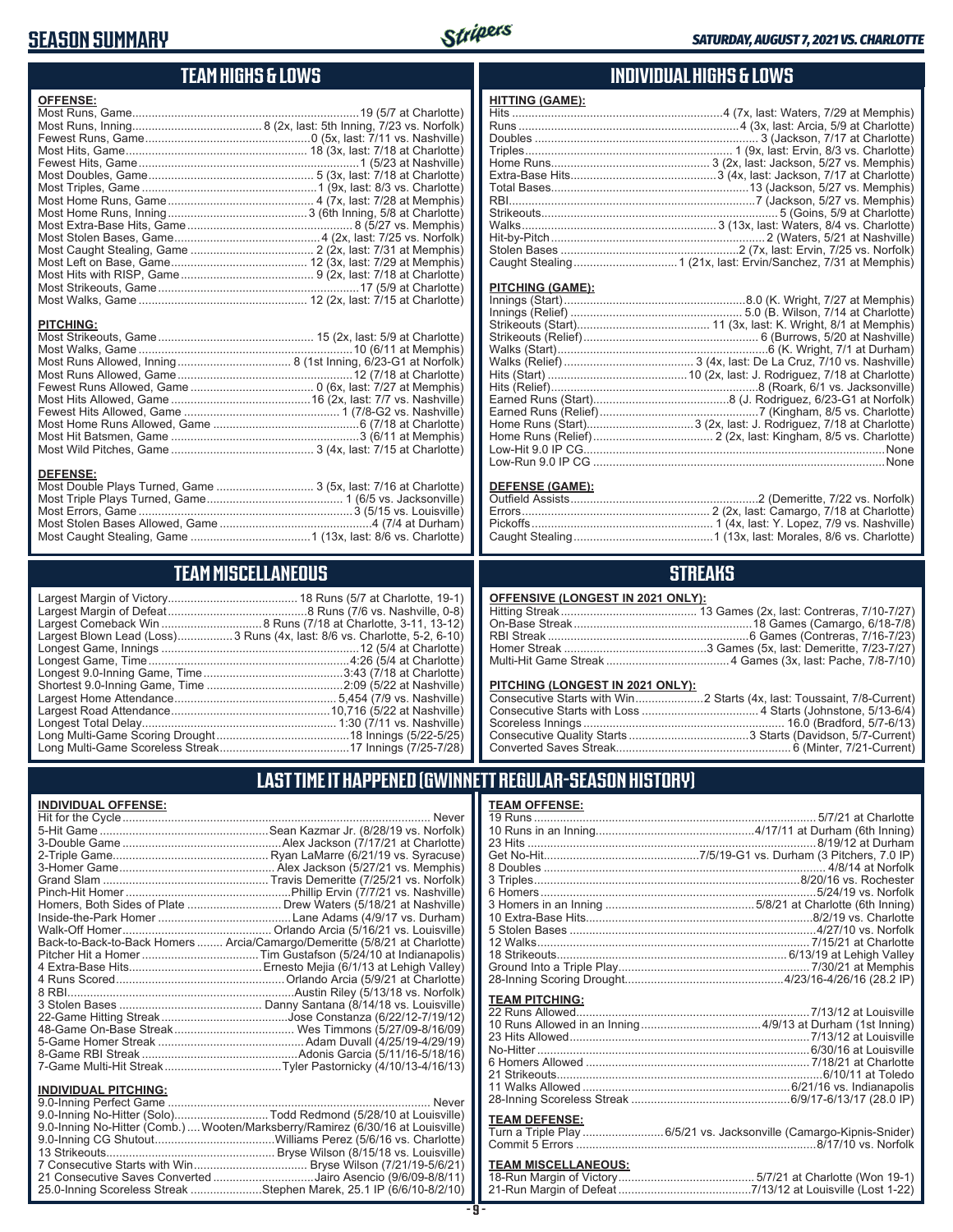#### **SEASON SUMMARY**



## **TEAM HIGHS & LOWS**

| <b>OFFENSE:</b>  |  |
|------------------|--|
|                  |  |
|                  |  |
|                  |  |
|                  |  |
|                  |  |
|                  |  |
|                  |  |
|                  |  |
|                  |  |
|                  |  |
|                  |  |
|                  |  |
|                  |  |
|                  |  |
|                  |  |
|                  |  |
|                  |  |
| <b>PITCHING:</b> |  |
|                  |  |
|                  |  |
|                  |  |
|                  |  |
|                  |  |
|                  |  |
|                  |  |
|                  |  |
|                  |  |
|                  |  |
| DEEEMOE.         |  |

#### **DEFENSE:**

## **TEAM MISCELLANEOUS**

| Largest Blown Lead (Loss)3 Runs (4x, last: 8/6 vs. Charlotte, 5-2, 6-10) |
|--------------------------------------------------------------------------|
|                                                                          |
| Longest Game, Time……………………………………………………4:26 (5/4 at Charlotte)            |
|                                                                          |
|                                                                          |
|                                                                          |
|                                                                          |
|                                                                          |
|                                                                          |
|                                                                          |
|                                                                          |

#### **INDIVIDUAL HIGHS & LOWS**

| <b>HITTING (GAME):</b> |                                                                   |
|------------------------|-------------------------------------------------------------------|
|                        | Hits ……………………………………………………………4 (7x, last: Waters, 7/29 at Memphis) |
|                        |                                                                   |
|                        |                                                                   |
|                        |                                                                   |
|                        |                                                                   |
|                        |                                                                   |
|                        |                                                                   |
|                        |                                                                   |
|                        |                                                                   |
|                        |                                                                   |
|                        |                                                                   |
|                        |                                                                   |
|                        |                                                                   |
|                        |                                                                   |

#### **PITCHING (GAME):**

| None |
|------|
|      |

#### **DEFENSE (GAME):**

#### **STREAKS**

#### **OFFENSIVE (LONGEST IN 2021 ONLY):**

#### **PITCHING (LONGEST IN 2021 ONLY):**

#### **LAST TIME IT HAPPENED (GWINNETT REGULAR-SEASON HISTORY)**

#### **INDIVIDUAL OFFENSE:**

|                             | Homers, Both Sides of Plate  Drew Waters (5/18/21 at Nashville)            |
|-----------------------------|----------------------------------------------------------------------------|
|                             |                                                                            |
|                             |                                                                            |
|                             | Back-to-Back-to-Back Homers  Arcia/Camargo/Demeritte (5/8/21 at Charlotte) |
|                             |                                                                            |
|                             |                                                                            |
|                             |                                                                            |
|                             |                                                                            |
|                             |                                                                            |
|                             |                                                                            |
|                             |                                                                            |
|                             |                                                                            |
|                             |                                                                            |
|                             |                                                                            |
| <b>INDIVIDUAL PITCHING:</b> |                                                                            |
| 9 0-Inning Perfect Game     | <b>Never</b>                                                               |

| 9.0-Inning No-Hitter (Solo)Todd Redmond (5/28/10 at Louisville)                |  |
|--------------------------------------------------------------------------------|--|
| 9.0-Inning No-Hitter (Comb.) Wooten/Marksberry/Ramirez (6/30/16 at Louisville) |  |
|                                                                                |  |
|                                                                                |  |
|                                                                                |  |
| 21 Consecutive Saves Converted Jairo Asencio (9/6/09-8/8/11)                   |  |
| 25.0-Inning Scoreless Streak Stephen Marek, 25.1 IP (6/6/10-8/2/10)            |  |

#### **TEAM OFFENSE:**

| <u>ILAM VII LIVJL.</u> |                                                                     |
|------------------------|---------------------------------------------------------------------|
|                        |                                                                     |
|                        |                                                                     |
|                        |                                                                     |
|                        |                                                                     |
|                        |                                                                     |
|                        |                                                                     |
|                        |                                                                     |
|                        |                                                                     |
|                        |                                                                     |
|                        |                                                                     |
|                        |                                                                     |
|                        |                                                                     |
|                        |                                                                     |
|                        |                                                                     |
|                        |                                                                     |
| <b>TEAM PITCHING:</b>  |                                                                     |
|                        |                                                                     |
|                        |                                                                     |
|                        |                                                                     |
|                        |                                                                     |
|                        |                                                                     |
|                        |                                                                     |
|                        |                                                                     |
|                        |                                                                     |
| <b>TEAM DEFENSE:</b>   |                                                                     |
|                        | Turn a Triple Play  6/5/21 vs. Jacksonville (Camargo-Kipnis-Snider) |
|                        |                                                                     |
|                        |                                                                     |

# **TEAM MISCELLANEOUS:**<br>18-Run Margin of Victory.....